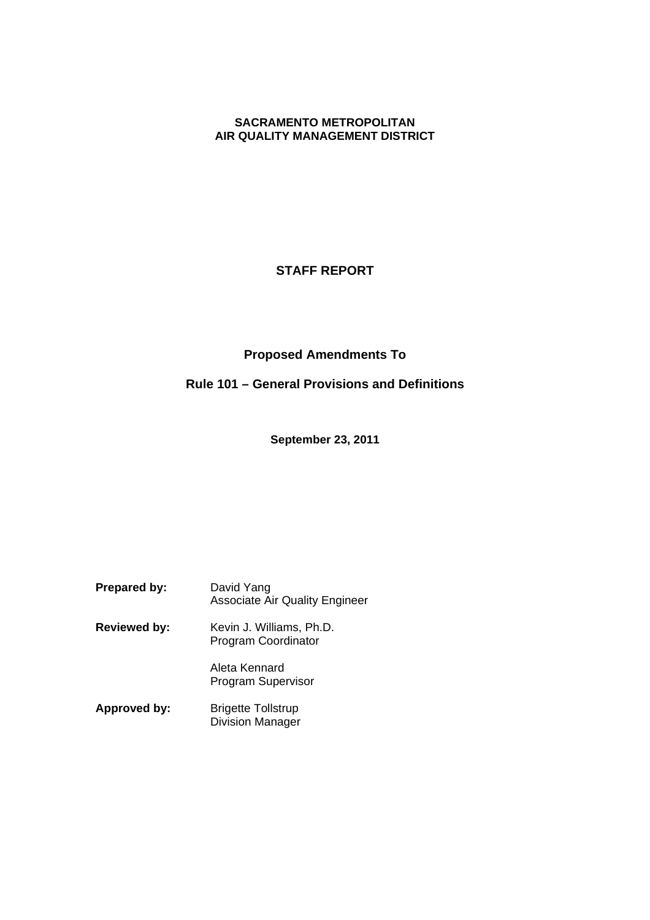# **SACRAMENTO METROPOLITAN AIR QUALITY MANAGEMENT DISTRICT**

# **STAFF REPORT**

# **Proposed Amendments To**

# **Rule 101 – General Provisions and Definitions**

**September 23, 2011**

**Prepared by:** David Yang Associate Air Quality Engineer

**Reviewed by:** Kevin J. Williams, Ph.D. Program Coordinator

> Aleta Kennard Program Supervisor

Approved by: Brigette Tollstrup Division Manager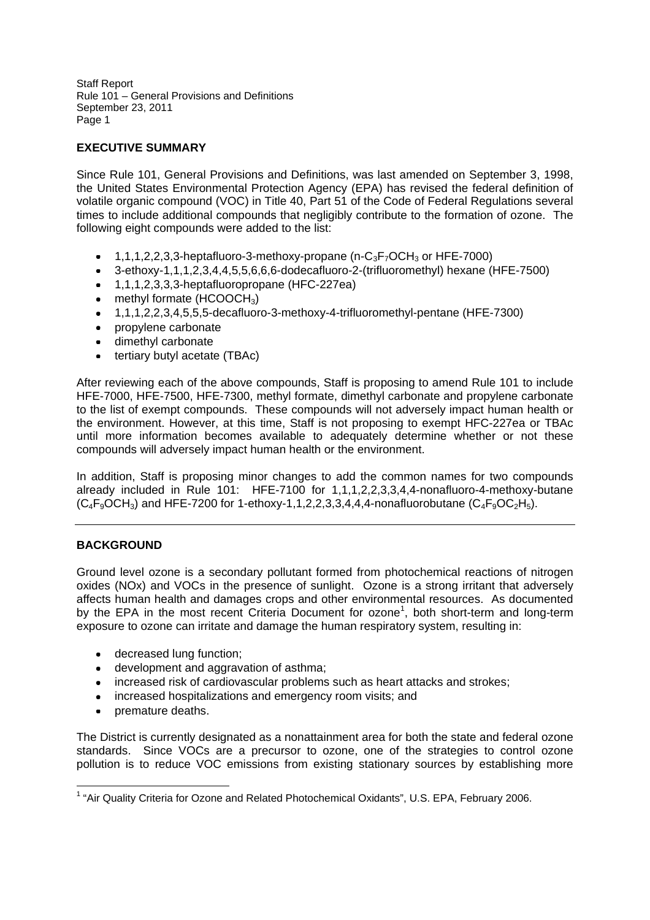# **EXECUTIVE SUMMARY**

Since Rule 101, General Provisions and Definitions, was last amended on September 3, 1998, the United States Environmental Protection Agency (EPA) has revised the federal definition of volatile organic compound (VOC) in Title 40, Part 51 of the Code of Federal Regulations several times to include additional compounds that negligibly contribute to the formation of ozone. The following eight compounds were added to the list:

- 1,1,1,2,2,3,3-heptafluoro-3-methoxy-propane (n-C<sub>3</sub>F<sub>7</sub>OCH<sub>3</sub> or HFE-7000)
- 3-ethoxy-1,1,1,2,3,4,4,5,5,6,6,6-dodecafluoro-2-(trifluoromethyl) hexane (HFE-7500)
- 1,1,1,2,3,3,3-heptafluoropropane (HFC-227ea)
- $\bullet$  methyl formate (HCOOCH<sub>3</sub>)
- 1,1,1,2,2,3,4,5,5,5-decafluoro-3-methoxy-4-trifluoromethyl-pentane (HFE-7300)
- propylene carbonate
- dimethyl carbonate
- tertiary butyl acetate (TBAc)

After reviewing each of the above compounds, Staff is proposing to amend Rule 101 to include HFE-7000, HFE-7500, HFE-7300, methyl formate, dimethyl carbonate and propylene carbonate to the list of exempt compounds. These compounds will not adversely impact human health or the environment. However, at this time, Staff is not proposing to exempt HFC-227ea or TBAc until more information becomes available to adequately determine whether or not these compounds will adversely impact human health or the environment.

In addition, Staff is proposing minor changes to add the common names for two compounds already included in Rule 101: HFE-7100 for 1,1,1,2,2,3,3,4,4-nonafluoro-4-methoxy-butane  $(C_4F_9OCH_3)$  and HFE-7200 for 1-ethoxy-1,1,2,2,3,3,4,4,4-nonafluorobutane  $(C_4F_9OC_2H_5)$ .

# **BACKGROUND**

Ground level ozone is a secondary pollutant formed from photochemical reactions of nitrogen oxides (NOx) and VOCs in the presence of sunlight. Ozone is a strong irritant that adversely affects human health and damages crops and other environmental resources. As documented by the EPA in the most recent Criteria Document for ozone<sup>1</sup>, both short-term and long-term exposure to ozone can irritate and damage the human respiratory system, resulting in:

- decreased lung function;
- development and aggravation of asthma;
- increased risk of cardiovascular problems such as heart attacks and strokes;
- increased hospitalizations and emergency room visits; and
- premature deaths.

The District is currently designated as a nonattainment area for both the state and federal ozone standards. Since VOCs are a precursor to ozone, one of the strategies to control ozone pollution is to reduce VOC emissions from existing stationary sources by establishing more

<sup>&</sup>lt;sup>1</sup> "Air Quality Criteria for Ozone and Related Photochemical Oxidants", U.S. EPA, February 2006.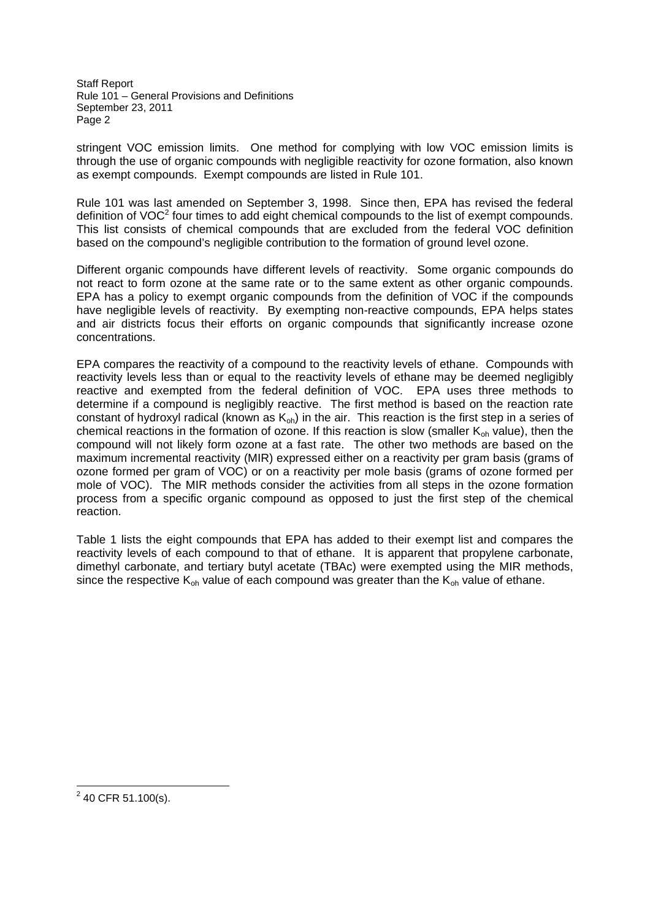stringent VOC emission limits. One method for complying with low VOC emission limits is through the use of organic compounds with negligible reactivity for ozone formation, also known as exempt compounds. Exempt compounds are listed in Rule 101.

Rule 101 was last amended on September 3, 1998. Since then, EPA has revised the federal definition of VOC $2$  four times to add eight chemical compounds to the list of exempt compounds. This list consists of chemical compounds that are excluded from the federal VOC definition based on the compound's negligible contribution to the formation of ground level ozone.

Different organic compounds have different levels of reactivity. Some organic compounds do not react to form ozone at the same rate or to the same extent as other organic compounds. EPA has a policy to exempt organic compounds from the definition of VOC if the compounds have negligible levels of reactivity. By exempting non-reactive compounds, EPA helps states and air districts focus their efforts on organic compounds that significantly increase ozone concentrations.

EPA compares the reactivity of a compound to the reactivity levels of ethane. Compounds with reactivity levels less than or equal to the reactivity levels of ethane may be deemed negligibly reactive and exempted from the federal definition of VOC. EPA uses three methods to determine if a compound is negligibly reactive. The first method is based on the reaction rate constant of hydroxyl radical (known as  $K_{\text{oh}}$ ) in the air. This reaction is the first step in a series of chemical reactions in the formation of ozone. If this reaction is slow (smaller  $K_{oh}$  value), then the compound will not likely form ozone at a fast rate. The other two methods are based on the maximum incremental reactivity (MIR) expressed either on a reactivity per gram basis (grams of ozone formed per gram of VOC) or on a reactivity per mole basis (grams of ozone formed per mole of VOC). The MIR methods consider the activities from all steps in the ozone formation process from a specific organic compound as opposed to just the first step of the chemical reaction.

Table 1 lists the eight compounds that EPA has added to their exempt list and compares the reactivity levels of each compound to that of ethane. It is apparent that propylene carbonate, dimethyl carbonate, and tertiary butyl acetate (TBAc) were exempted using the MIR methods, since the respective  $K_{\text{ob}}$  value of each compound was greater than the  $K_{\text{ob}}$  value of ethane.

 $2$  40 CFR 51.100(s).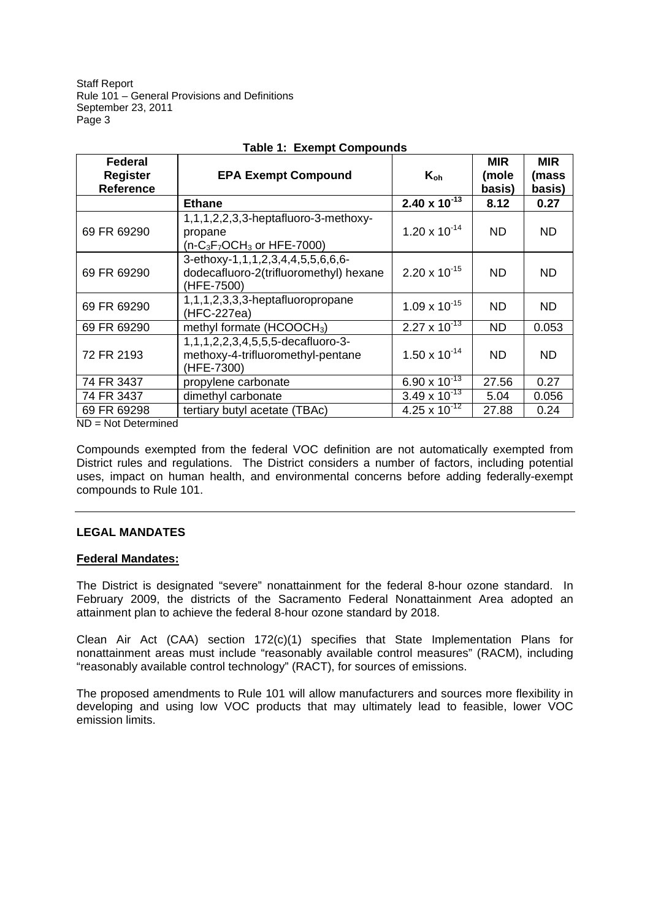| <b>Federal</b><br><b>Register</b><br><b>Reference</b> | <b>EPA Exempt Compound</b>                                                                | $K_{oh}$               | <b>MIR</b><br>(mole<br>basis) | <b>MIR</b><br>(mass<br>basis) |
|-------------------------------------------------------|-------------------------------------------------------------------------------------------|------------------------|-------------------------------|-------------------------------|
|                                                       | <b>Ethane</b>                                                                             | $2.40 \times 10^{-13}$ | 8.12                          | 0.27                          |
| 69 FR 69290                                           | 1,1,1,2,2,3,3-heptafluoro-3-methoxy-<br>propane<br>$(n-C_3F_7OCH_3$ or HFE-7000)          | $1.20 \times 10^{-14}$ | ND.                           | ND                            |
| 69 FR 69290                                           | 3-ethoxy-1,1,1,2,3,4,4,5,5,6,6,6-<br>dodecafluoro-2(trifluoromethyl) hexane<br>(HFE-7500) | $2.20 \times 10^{-15}$ | ND.                           | ND.                           |
| 69 FR 69290                                           | 1,1,1,2,3,3,3-heptafluoropropane<br>(HFC-227ea)                                           | $1.09 \times 10^{-15}$ | ND.                           | ND.                           |
| 69 FR 69290                                           | methyl formate (HCOOCH <sub>3</sub> )                                                     | $2.27 \times 10^{-13}$ | <b>ND</b>                     | 0.053                         |
| 72 FR 2193                                            | 1,1,1,2,2,3,4,5,5,5-decafluoro-3-<br>methoxy-4-trifluoromethyl-pentane<br>(HFE-7300)      | $1.50 \times 10^{-14}$ | ND.                           | ND.                           |
| 74 FR 3437                                            | propylene carbonate                                                                       | 6.90 x $10^{-13}$      | 27.56                         | 0.27                          |
| 74 FR 3437                                            | dimethyl carbonate                                                                        | $3.49 \times 10^{-13}$ | 5.04                          | 0.056                         |
| 69 FR 69298                                           | tertiary butyl acetate (TBAc)                                                             | 4.25 x $10^{-12}$      | 27.88                         | 0.24                          |

# **Table 1: Exempt Compounds**

ND = Not Determined

Compounds exempted from the federal VOC definition are not automatically exempted from District rules and regulations. The District considers a number of factors, including potential uses, impact on human health, and environmental concerns before adding federally-exempt compounds to Rule 101.

# **LEGAL MANDATES**

## **Federal Mandates:**

The District is designated "severe" nonattainment for the federal 8-hour ozone standard. In February 2009, the districts of the Sacramento Federal Nonattainment Area adopted an attainment plan to achieve the federal 8-hour ozone standard by 2018.

Clean Air Act (CAA) section  $172(c)(1)$  specifies that State Implementation Plans for nonattainment areas must include "reasonably available control measures" (RACM), including "reasonably available control technology" (RACT), for sources of emissions.

The proposed amendments to Rule 101 will allow manufacturers and sources more flexibility in developing and using low VOC products that may ultimately lead to feasible, lower VOC emission limits.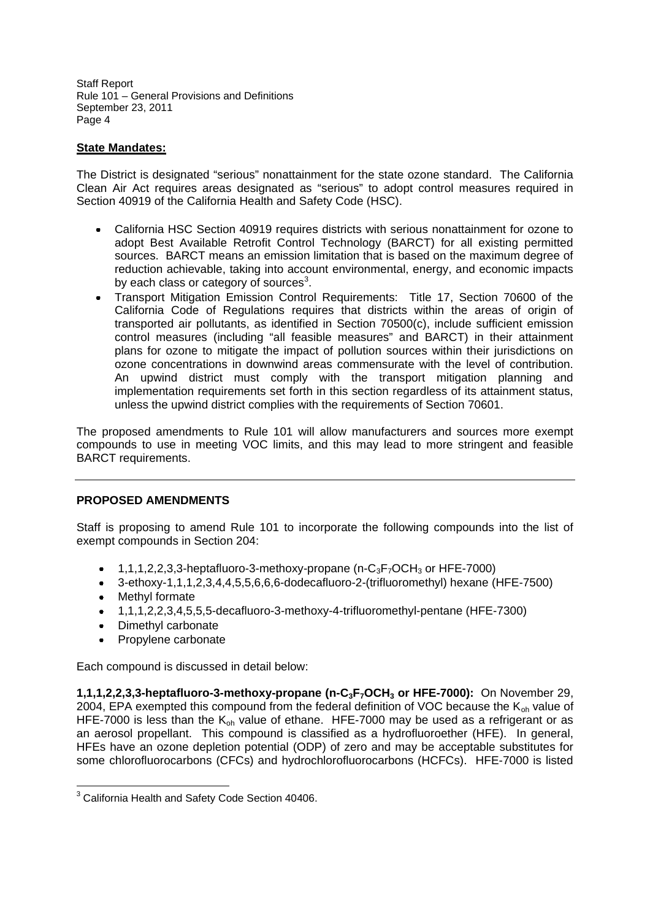# **State Mandates:**

The District is designated "serious" nonattainment for the state ozone standard. The California Clean Air Act requires areas designated as "serious" to adopt control measures required in Section 40919 of the California Health and Safety Code (HSC).

- California HSC Section 40919 requires districts with serious nonattainment for ozone to adopt Best Available Retrofit Control Technology (BARCT) for all existing permitted sources. BARCT means an emission limitation that is based on the maximum degree of reduction achievable, taking into account environmental, energy, and economic impacts by each class or category of sources $^3$ .
- Transport Mitigation Emission Control Requirements: Title 17, Section 70600 of the California Code of Regulations requires that districts within the areas of origin of transported air pollutants, as identified in Section 70500(c), include sufficient emission control measures (including "all feasible measures" and BARCT) in their attainment plans for ozone to mitigate the impact of pollution sources within their jurisdictions on ozone concentrations in downwind areas commensurate with the level of contribution. An upwind district must comply with the transport mitigation planning and implementation requirements set forth in this section regardless of its attainment status, unless the upwind district complies with the requirements of Section 70601.

The proposed amendments to Rule 101 will allow manufacturers and sources more exempt compounds to use in meeting VOC limits, and this may lead to more stringent and feasible BARCT requirements.

## **PROPOSED AMENDMENTS**

Staff is proposing to amend Rule 101 to incorporate the following compounds into the list of exempt compounds in Section 204:

- 1,1,1,2,2,3,3-heptafluoro-3-methoxy-propane (n- $C_3F_7OCH_3$  or HFE-7000)  $\bullet$
- $\bullet$ 3-ethoxy-1,1,1,2,3,4,4,5,5,6,6,6-dodecafluoro-2-(trifluoromethyl) hexane (HFE-7500)
- Methyl formate
- 1,1,1,2,2,3,4,5,5,5-decafluoro-3-methoxy-4-trifluoromethyl-pentane (HFE-7300)
- Dimethyl carbonate
- $\bullet$ Propylene carbonate

Each compound is discussed in detail below:

**1,1,1,2,2,3,3-heptafluoro-3-methoxy-propane (n-C3F7OCH<sup>3</sup> or HFE-7000):** On November 29, 2004, EPA exempted this compound from the federal definition of VOC because the  $K_{oh}$  value of HFE-7000 is less than the  $K_{\text{oh}}$  value of ethane. HFE-7000 may be used as a refrigerant or as an aerosol propellant. This compound is classified as a hydrofluoroether (HFE). In general, HFEs have an ozone depletion potential (ODP) of zero and may be acceptable substitutes for some chlorofluorocarbons (CFCs) and hydrochlorofluorocarbons (HCFCs). HFE-7000 is listed

<sup>3</sup> California Health and Safety Code Section 40406.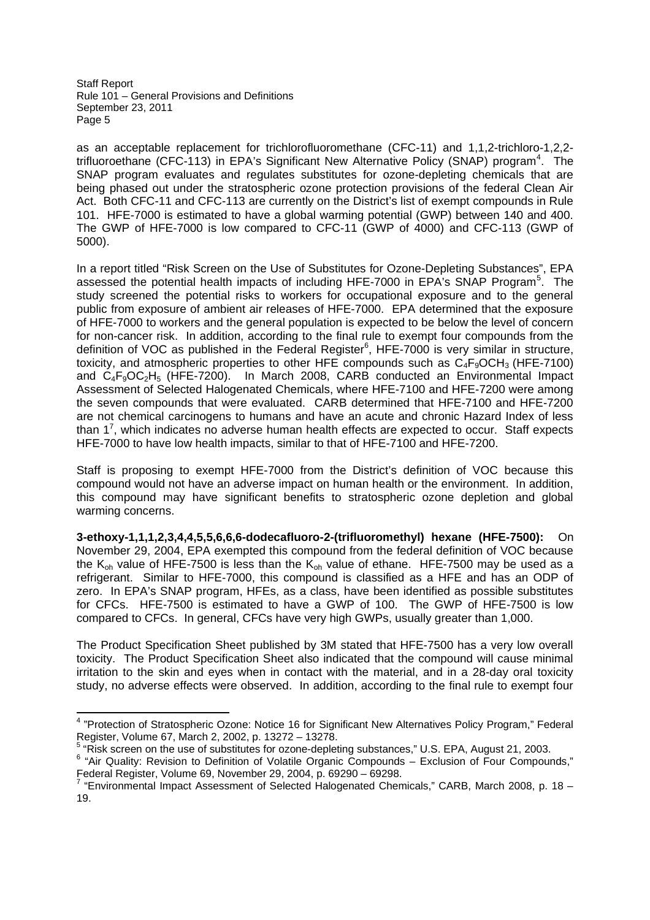as an acceptable replacement for trichlorofluoromethane (CFC-11) and 1,1,2-trichloro-1,2,2 trifluoroethane (CFC-113) in EPA's Significant New Alternative Policy (SNAP) program<sup>4</sup>. The SNAP program evaluates and regulates substitutes for ozone-depleting chemicals that are being phased out under the stratospheric ozone protection provisions of the federal Clean Air Act. Both CFC-11 and CFC-113 are currently on the District's list of exempt compounds in Rule 101. HFE-7000 is estimated to have a global warming potential (GWP) between 140 and 400. The GWP of HFE-7000 is low compared to CFC-11 (GWP of 4000) and CFC-113 (GWP of 5000).

In a report titled "Risk Screen on the Use of Substitutes for Ozone-Depleting Substances", EPA assessed the potential health impacts of including HFE-7000 in EPA's SNAP Program<sup>5</sup>. The study screened the potential risks to workers for occupational exposure and to the general public from exposure of ambient air releases of HFE-7000. EPA determined that the exposure of HFE-7000 to workers and the general population is expected to be below the level of concern for non-cancer risk. In addition, according to the final rule to exempt four compounds from the definition of VOC as published in the Federal Register<sup>6</sup>, HFE-7000 is very similar in structure, toxicity, and atmospheric properties to other HFE compounds such as  $C_4F_9OCH_3$  (HFE-7100) and  $C_4F_9OC_2H_5$  (HFE-7200). In March 2008, CARB conducted an Environmental Impact Assessment of Selected Halogenated Chemicals, where HFE-7100 and HFE-7200 were among the seven compounds that were evaluated. CARB determined that HFE-7100 and HFE-7200 are not chemical carcinogens to humans and have an acute and chronic Hazard Index of less than 1<sup>7</sup>, which indicates no adverse human health effects are expected to occur. Staff expects HFE-7000 to have low health impacts, similar to that of HFE-7100 and HFE-7200.

Staff is proposing to exempt HFE-7000 from the District's definition of VOC because this compound would not have an adverse impact on human health or the environment. In addition, this compound may have significant benefits to stratospheric ozone depletion and global warming concerns.

**3-ethoxy-1,1,1,2,3,4,4,5,5,6,6,6-dodecafluoro-2-(trifluoromethyl) hexane (HFE-7500):** On November 29, 2004, EPA exempted this compound from the federal definition of VOC because the  $K_{oh}$  value of HFE-7500 is less than the  $K_{oh}$  value of ethane. HFE-7500 may be used as a refrigerant. Similar to HFE-7000, this compound is classified as a HFE and has an ODP of zero. In EPA's SNAP program, HFEs, as a class, have been identified as possible substitutes for CFCs. HFE-7500 is estimated to have a GWP of 100. The GWP of HFE-7500 is low compared to CFCs. In general, CFCs have very high GWPs, usually greater than 1,000.

The Product Specification Sheet published by 3M stated that HFE-7500 has a very low overall toxicity. The Product Specification Sheet also indicated that the compound will cause minimal irritation to the skin and eyes when in contact with the material, and in a 28-day oral toxicity study, no adverse effects were observed. In addition, according to the final rule to exempt four

<sup>&</sup>lt;sup>4</sup> "Protection of Stratospheric Ozone: Notice 16 for Significant New Alternatives Policy Program," Federal Register, Volume 67, March 2, 2002, p. 13272 – 13278.

<sup>5</sup> "Risk screen on the use of substitutes for ozone-depleting substances," U.S. EPA, August 21, 2003.

<sup>&</sup>lt;sup>6</sup> "Air Quality: Revision to Definition of Volatile Organic Compounds - Exclusion of Four Compounds," Federal Register, Volume 69, November 29, 2004, p. 69290 – 69298.<br><sup>7</sup> "Environmental Impact Assessment of Selected Halogenated Chemicals," CARB, March 2008, p. 18 –

<sup>19.</sup>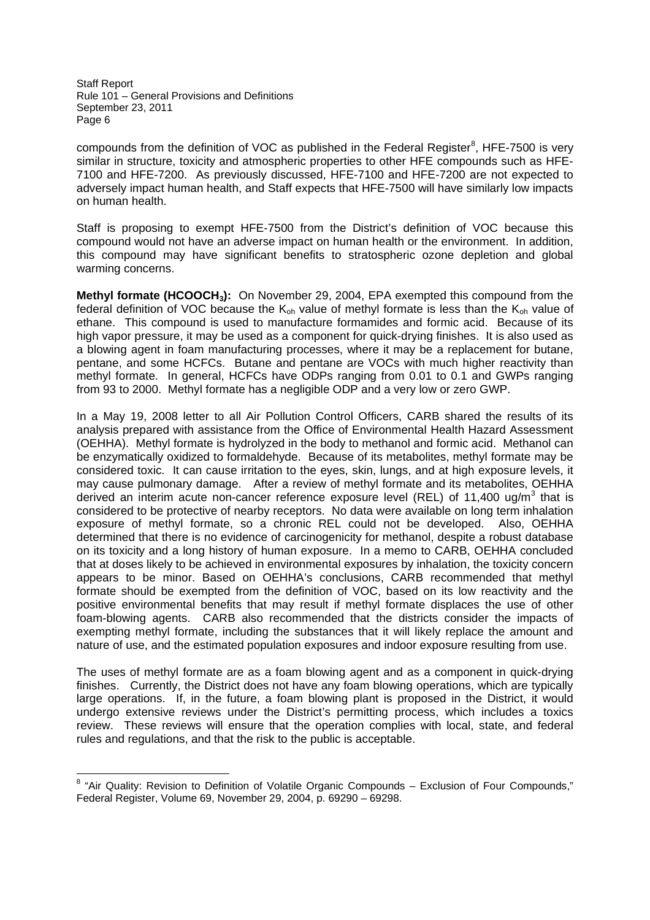compounds from the definition of VOC as published in the Federal Register<sup>8</sup>, HFE-7500 is very similar in structure, toxicity and atmospheric properties to other HFE compounds such as HFE-7100 and HFE-7200. As previously discussed, HFE-7100 and HFE-7200 are not expected to adversely impact human health, and Staff expects that HFE-7500 will have similarly low impacts on human health.

Staff is proposing to exempt HFE-7500 from the District's definition of VOC because this compound would not have an adverse impact on human health or the environment. In addition, this compound may have significant benefits to stratospheric ozone depletion and global warming concerns.

**Methyl formate (HCOOCH3):** On November 29, 2004, EPA exempted this compound from the federal definition of VOC because the  $K_{\text{oh}}$  value of methyl formate is less than the  $K_{\text{oh}}$  value of ethane. This compound is used to manufacture formamides and formic acid. Because of its high vapor pressure, it may be used as a component for quick-drying finishes. It is also used as a blowing agent in foam manufacturing processes, where it may be a replacement for butane, pentane, and some HCFCs. Butane and pentane are VOCs with much higher reactivity than methyl formate. In general, HCFCs have ODPs ranging from 0.01 to 0.1 and GWPs ranging from 93 to 2000. Methyl formate has a negligible ODP and a very low or zero GWP.

In a May 19, 2008 letter to all Air Pollution Control Officers, CARB shared the results of its analysis prepared with assistance from the Office of Environmental Health Hazard Assessment (OEHHA). Methyl formate is hydrolyzed in the body to methanol and formic acid. Methanol can be enzymatically oxidized to formaldehyde. Because of its metabolites, methyl formate may be considered toxic. It can cause irritation to the eyes, skin, lungs, and at high exposure levels, it may cause pulmonary damage. After a review of methyl formate and its metabolites, OEHHA derived an interim acute non-cancer reference exposure level (REL) of 11,400 ug/m<sup>3</sup> that is considered to be protective of nearby receptors. No data were available on long term inhalation exposure of methyl formate, so a chronic REL could not be developed. Also, OEHHA determined that there is no evidence of carcinogenicity for methanol, despite a robust database on its toxicity and a long history of human exposure. In a memo to CARB, OEHHA concluded that at doses likely to be achieved in environmental exposures by inhalation, the toxicity concern appears to be minor. Based on OEHHA's conclusions, CARB recommended that methyl formate should be exempted from the definition of VOC, based on its low reactivity and the positive environmental benefits that may result if methyl formate displaces the use of other foam-blowing agents. CARB also recommended that the districts consider the impacts of exempting methyl formate, including the substances that it will likely replace the amount and nature of use, and the estimated population exposures and indoor exposure resulting from use.

The uses of methyl formate are as a foam blowing agent and as a component in quick-drying finishes. Currently, the District does not have any foam blowing operations, which are typically large operations. If, in the future, a foam blowing plant is proposed in the District, it would undergo extensive reviews under the District's permitting process, which includes a toxics review. These reviews will ensure that the operation complies with local, state, and federal rules and regulations, and that the risk to the public is acceptable.

<sup>&</sup>lt;sup>8</sup> "Air Quality: Revision to Definition of Volatile Organic Compounds - Exclusion of Four Compounds," Federal Register, Volume 69, November 29, 2004, p. 69290 – 69298.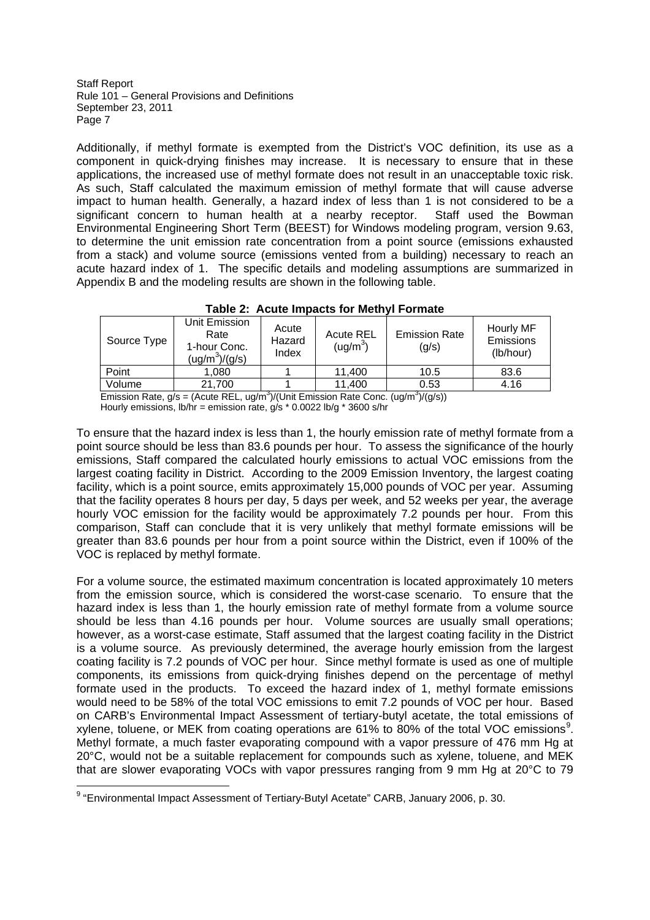Additionally, if methyl formate is exempted from the District's VOC definition, its use as a component in quick-drying finishes may increase. It is necessary to ensure that in these applications, the increased use of methyl formate does not result in an unacceptable toxic risk. As such, Staff calculated the maximum emission of methyl formate that will cause adverse impact to human health. Generally, a hazard index of less than 1 is not considered to be a significant concern to human health at a nearby receptor. Staff used the Bowman Environmental Engineering Short Term (BEEST) for Windows modeling program, version 9.63, to determine the unit emission rate concentration from a point source (emissions exhausted from a stack) and volume source (emissions vented from a building) necessary to reach an acute hazard index of 1. The specific details and modeling assumptions are summarized in Appendix B and the modeling results are shown in the following table.

|                                                                                                                             |                                                           |                          | $1900$ . Avaly inducts the mother of the $\sim$ |                               |                                     |
|-----------------------------------------------------------------------------------------------------------------------------|-----------------------------------------------------------|--------------------------|-------------------------------------------------|-------------------------------|-------------------------------------|
| Source Type                                                                                                                 | Unit Emission<br>Rate<br>1-hour Conc.<br>$(ug/m^3)/(g/s)$ | Acute<br>Hazard<br>Index | <b>Acute REL</b><br>(ug/m <sup>3</sup> )        | <b>Emission Rate</b><br>(g/s) | Hourly MF<br>Emissions<br>(lb/hour) |
| Point                                                                                                                       | 1.080                                                     |                          | 11.400                                          | 10.5                          | 83.6                                |
| Volume                                                                                                                      | 21.700                                                    |                          | 11.400                                          | 0.53                          | 4.16                                |
| $\frac{(100^3)}{(10^3)}$ llnit Emission Rate Conc. $\frac{(100^3)}{(0^3)}$<br>Emission Rate $q/s = (A_{\text{Cuff}} \ RFL)$ |                                                           |                          |                                                 |                               |                                     |

# **Table 2: Acute Impacts for Methyl Formate**

Emission Rate,  $g/s = ($ Acute REL, ug/m<sup>3</sup>)/(Unit Emission Rate Conc. (ug/m<sup>3</sup>) )/(g/s)) Hourly emissions,  $\frac{1}{2}$  lb/hr = emission rate, g/s  $*$  0.0022 lb/g  $*$  3600 s/hr

To ensure that the hazard index is less than 1, the hourly emission rate of methyl formate from a point source should be less than 83.6 pounds per hour. To assess the significance of the hourly emissions, Staff compared the calculated hourly emissions to actual VOC emissions from the largest coating facility in District. According to the 2009 Emission Inventory, the largest coating facility, which is a point source, emits approximately 15,000 pounds of VOC per year. Assuming that the facility operates 8 hours per day, 5 days per week, and 52 weeks per year, the average hourly VOC emission for the facility would be approximately 7.2 pounds per hour. From this comparison, Staff can conclude that it is very unlikely that methyl formate emissions will be greater than 83.6 pounds per hour from a point source within the District, even if 100% of the VOC is replaced by methyl formate.

For a volume source, the estimated maximum concentration is located approximately 10 meters from the emission source, which is considered the worst-case scenario. To ensure that the hazard index is less than 1, the hourly emission rate of methyl formate from a volume source should be less than 4.16 pounds per hour. Volume sources are usually small operations; however, as a worst-case estimate, Staff assumed that the largest coating facility in the District is a volume source. As previously determined, the average hourly emission from the largest coating facility is 7.2 pounds of VOC per hour. Since methyl formate is used as one of multiple components, its emissions from quick-drying finishes depend on the percentage of methyl formate used in the products. To exceed the hazard index of 1, methyl formate emissions would need to be 58% of the total VOC emissions to emit 7.2 pounds of VOC per hour. Based on CARB's Environmental Impact Assessment of tertiary-butyl acetate, the total emissions of xylene, toluene, or MEK from coating operations are 61% to 80% of the total VOC emissions<sup>9</sup>. Methyl formate, a much faster evaporating compound with a vapor pressure of 476 mm Hg at 20°C, would not be a suitable replacement for compounds such as xylene, toluene, and MEK that are slower evaporating VOCs with vapor pressures ranging from 9 mm Hg at 20°C to 79

<sup>&</sup>lt;sup>9</sup> "Environmental Impact Assessment of Tertiary-Butyl Acetate" CARB, January 2006, p. 30.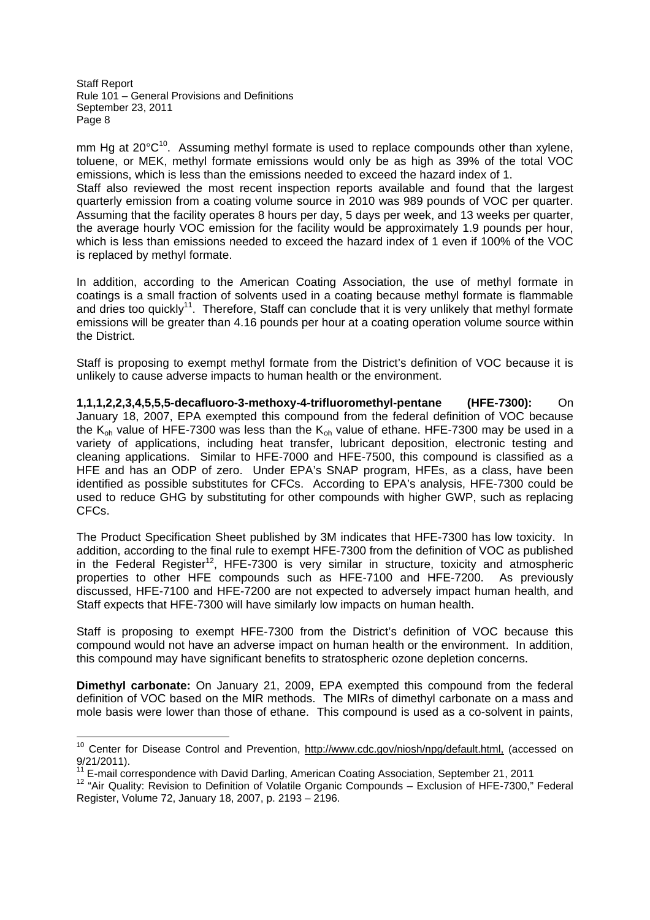mm Hg at  $20^{\circ}C^{10}$ . Assuming methyl formate is used to replace compounds other than xylene, toluene, or MEK, methyl formate emissions would only be as high as 39% of the total VOC emissions, which is less than the emissions needed to exceed the hazard index of 1. Staff also reviewed the most recent inspection reports available and found that the largest quarterly emission from a coating volume source in 2010 was 989 pounds of VOC per quarter. Assuming that the facility operates 8 hours per day, 5 days per week, and 13 weeks per quarter, the average hourly VOC emission for the facility would be approximately 1.9 pounds per hour, which is less than emissions needed to exceed the hazard index of 1 even if 100% of the VOC is replaced by methyl formate.

In addition, according to the American Coating Association, the use of methyl formate in coatings is a small fraction of solvents used in a coating because methyl formate is flammable and dries too quickly<sup>11</sup>. Therefore, Staff can conclude that it is very unlikely that methyl formate emissions will be greater than 4.16 pounds per hour at a coating operation volume source within the District.

Staff is proposing to exempt methyl formate from the District's definition of VOC because it is unlikely to cause adverse impacts to human health or the environment.

**1,1,1,2,2,3,4,5,5,5-decafluoro-3-methoxy-4-trifluoromethyl-pentane (HFE-7300):** On January 18, 2007, EPA exempted this compound from the federal definition of VOC because the  $K_{oh}$  value of HFE-7300 was less than the  $K_{oh}$  value of ethane. HFE-7300 may be used in a variety of applications, including heat transfer, lubricant deposition, electronic testing and cleaning applications. Similar to HFE-7000 and HFE-7500, this compound is classified as a HFE and has an ODP of zero. Under EPA's SNAP program, HFEs, as a class, have been identified as possible substitutes for CFCs. According to EPA's analysis, HFE-7300 could be used to reduce GHG by substituting for other compounds with higher GWP, such as replacing CFCs.

The Product Specification Sheet published by 3M indicates that HFE-7300 has low toxicity. In addition, according to the final rule to exempt HFE-7300 from the definition of VOC as published in the Federal Register<sup>12</sup>, HFE-7300 is very similar in structure, toxicity and atmospheric properties to other HFE compounds such as HFE-7100 and HFE-7200. As previously discussed, HFE-7100 and HFE-7200 are not expected to adversely impact human health, and Staff expects that HFE-7300 will have similarly low impacts on human health.

Staff is proposing to exempt HFE-7300 from the District's definition of VOC because this compound would not have an adverse impact on human health or the environment. In addition, this compound may have significant benefits to stratospheric ozone depletion concerns.

**Dimethyl carbonate:** On January 21, 2009, EPA exempted this compound from the federal definition of VOC based on the MIR methods. The MIRs of dimethyl carbonate on a mass and mole basis were lower than those of ethane. This compound is used as a co-solvent in paints,

<sup>&</sup>lt;sup>10</sup> Center for Disease Control and Prevention, http://www.cdc.gov/niosh/npg/default.html, (accessed on 9/21/2011).

<sup>11</sup> E-mail correspondence with David Darling, American Coating Association, September 21, 2011

<sup>12</sup> "Air Quality: Revision to Definition of Volatile Organic Compounds – Exclusion of HFE-7300," Federal Register, Volume 72, January 18, 2007, p. 2193 – 2196.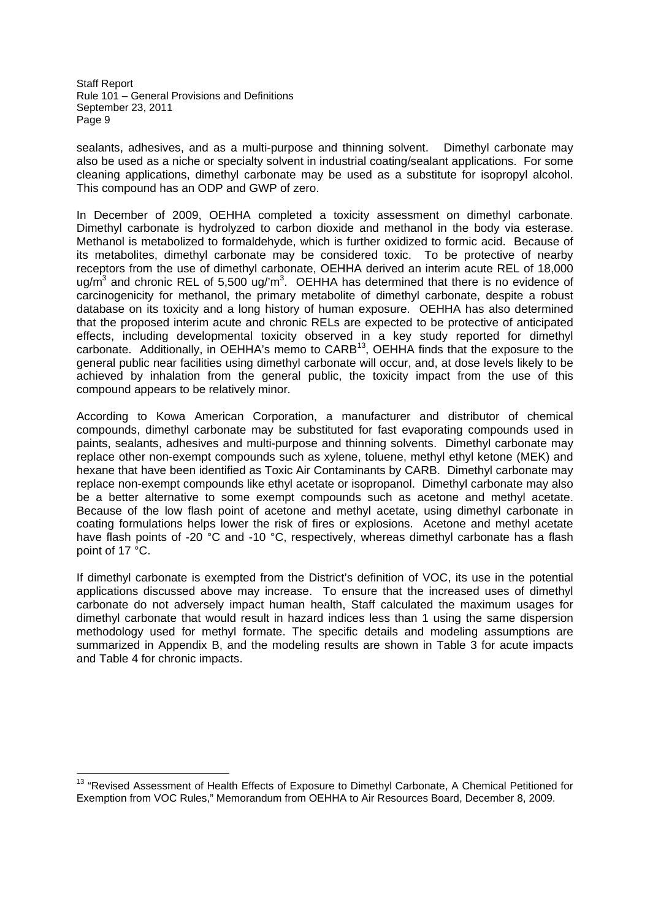sealants, adhesives, and as a multi-purpose and thinning solvent. Dimethyl carbonate may also be used as a niche or specialty solvent in industrial coating/sealant applications. For some cleaning applications, dimethyl carbonate may be used as a substitute for isopropyl alcohol. This compound has an ODP and GWP of zero.

In December of 2009, OEHHA completed a toxicity assessment on dimethyl carbonate. Dimethyl carbonate is hydrolyzed to carbon dioxide and methanol in the body via esterase. Methanol is metabolized to formaldehyde, which is further oxidized to formic acid. Because of its metabolites, dimethyl carbonate may be considered toxic. To be protective of nearby receptors from the use of dimethyl carbonate, OEHHA derived an interim acute REL of 18,000 ug/m<sup>3</sup> and chronic REL of 5,500 ug/'m<sup>3</sup>. OEHHA has determined that there is no evidence of carcinogenicity for methanol, the primary metabolite of dimethyl carbonate, despite a robust database on its toxicity and a long history of human exposure. OEHHA has also determined that the proposed interim acute and chronic RELs are expected to be protective of anticipated effects, including developmental toxicity observed in a key study reported for dimethyl carbonate. Additionally, in OEHHA's memo to CARB<sup>13</sup>, OEHHA finds that the exposure to the general public near facilities using dimethyl carbonate will occur, and, at dose levels likely to be achieved by inhalation from the general public, the toxicity impact from the use of this compound appears to be relatively minor.

According to Kowa American Corporation, a manufacturer and distributor of chemical compounds, dimethyl carbonate may be substituted for fast evaporating compounds used in paints, sealants, adhesives and multi-purpose and thinning solvents. Dimethyl carbonate may replace other non-exempt compounds such as xylene, toluene, methyl ethyl ketone (MEK) and hexane that have been identified as Toxic Air Contaminants by CARB. Dimethyl carbonate may replace non-exempt compounds like ethyl acetate or isopropanol. Dimethyl carbonate may also be a better alternative to some exempt compounds such as acetone and methyl acetate. Because of the low flash point of acetone and methyl acetate, using dimethyl carbonate in coating formulations helps lower the risk of fires or explosions. Acetone and methyl acetate have flash points of -20 °C and -10 °C, respectively, whereas dimethyl carbonate has a flash point of 17 °C.

If dimethyl carbonate is exempted from the District's definition of VOC, its use in the potential applications discussed above may increase. To ensure that the increased uses of dimethyl carbonate do not adversely impact human health, Staff calculated the maximum usages for dimethyl carbonate that would result in hazard indices less than 1 using the same dispersion methodology used for methyl formate. The specific details and modeling assumptions are summarized in Appendix B, and the modeling results are shown in Table 3 for acute impacts and Table 4 for chronic impacts.

<sup>&</sup>lt;sup>13</sup> "Revised Assessment of Health Effects of Exposure to Dimethyl Carbonate, A Chemical Petitioned for Exemption from VOC Rules," Memorandum from OEHHA to Air Resources Board, December 8, 2009.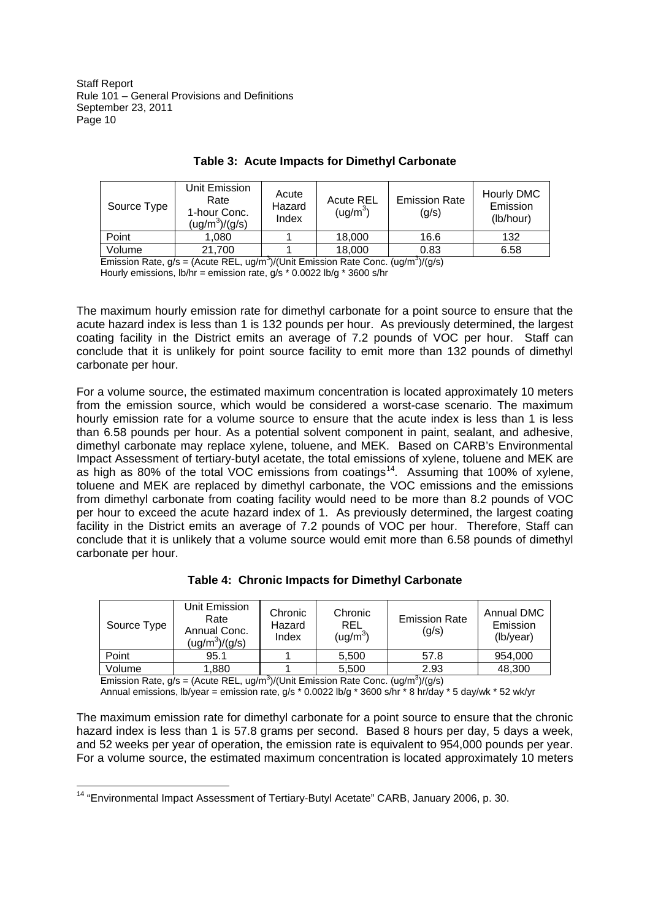| Source Type | Unit Emission<br>Rate<br>1-hour Conc.<br>$(ug/m^3)/(g/s)$ | Acute<br>Hazard<br>Index | <b>Acute REL</b><br>(ug/m <sup>3</sup> ) | <b>Emission Rate</b><br>(g/s) | Hourly DMC<br>Emission<br>(lb/hour) |
|-------------|-----------------------------------------------------------|--------------------------|------------------------------------------|-------------------------------|-------------------------------------|
| Point       | 1.080                                                     |                          | 18,000                                   | 16.6                          | 132                                 |
| Volume      | 21,700                                                    |                          | 18,000                                   | 0.83                          | 6.58                                |

# **Table 3: Acute Impacts for Dimethyl Carbonate**

Emission Rate,  $g/s = ($ Acute REL, ug/m<sup>3</sup> $)/$ (Unit Emission Rate Conc.  $(ug/m<sup>3</sup>)/(g/s)$ Hourly emissions,  $\frac{1}{h}$  = emission rate,  $\frac{1}{g}$  \* 0.0022 lb/g \* 3600 s/hr

The maximum hourly emission rate for dimethyl carbonate for a point source to ensure that the acute hazard index is less than 1 is 132 pounds per hour. As previously determined, the largest coating facility in the District emits an average of 7.2 pounds of VOC per hour. Staff can conclude that it is unlikely for point source facility to emit more than 132 pounds of dimethyl carbonate per hour.

For a volume source, the estimated maximum concentration is located approximately 10 meters from the emission source, which would be considered a worst-case scenario. The maximum hourly emission rate for a volume source to ensure that the acute index is less than 1 is less than 6.58 pounds per hour. As a potential solvent component in paint, sealant, and adhesive, dimethyl carbonate may replace xylene, toluene, and MEK. Based on CARB's Environmental Impact Assessment of tertiary-butyl acetate, the total emissions of xylene, toluene and MEK are as high as 80% of the total VOC emissions from coatings<sup>14</sup>. Assuming that 100% of xylene, toluene and MEK are replaced by dimethyl carbonate, the VOC emissions and the emissions from dimethyl carbonate from coating facility would need to be more than 8.2 pounds of VOC per hour to exceed the acute hazard index of 1. As previously determined, the largest coating facility in the District emits an average of 7.2 pounds of VOC per hour. Therefore, Staff can conclude that it is unlikely that a volume source would emit more than 6.58 pounds of dimethyl carbonate per hour.

**Table 4: Chronic Impacts for Dimethyl Carbonate**

| Source Type | Unit Emission<br>Rate<br>Annual Conc.<br>$(ug/m^3)/(g/s)$ | Chronic<br>Hazard<br>Index | Chronic<br><b>REL</b><br>(ug/m $^3$ ) | <b>Emission Rate</b><br>(g/s) | Annual DMC<br>Emission<br>(lb/year) |
|-------------|-----------------------------------------------------------|----------------------------|---------------------------------------|-------------------------------|-------------------------------------|
| Point       | 95.1                                                      |                            | 5,500                                 | 57.8                          | 954,000                             |
| Volume      | 1,880                                                     |                            | 5,500                                 | 2.93                          | 48,300                              |

Emission Rate,  $g/s = ($ Acute REL, ug/m<sup>3</sup> $)/$ (Unit Emission Rate Conc.  $(ug/m<sup>3</sup>)/(g/s)$ 

Annual emissions, lb/year = emission rate, g/s \* 0.0022 lb/g \* 3600 s/hr \* 8 hr/day \* 5 day/wk \* 52 wk/yr

The maximum emission rate for dimethyl carbonate for a point source to ensure that the chronic hazard index is less than 1 is 57.8 grams per second. Based 8 hours per day, 5 days a week, and 52 weeks per year of operation, the emission rate is equivalent to 954,000 pounds per year. For a volume source, the estimated maximum concentration is located approximately 10 meters

<sup>14</sup> "Environmental Impact Assessment of Tertiary-Butyl Acetate" CARB, January 2006, p. 30.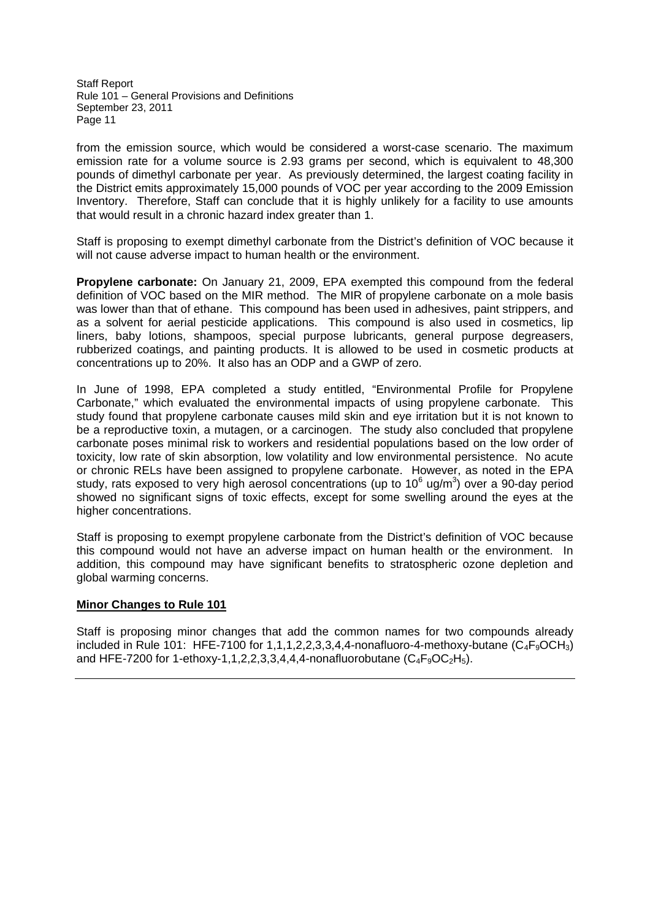from the emission source, which would be considered a worst-case scenario. The maximum emission rate for a volume source is 2.93 grams per second, which is equivalent to 48,300 pounds of dimethyl carbonate per year. As previously determined, the largest coating facility in the District emits approximately 15,000 pounds of VOC per year according to the 2009 Emission Inventory. Therefore, Staff can conclude that it is highly unlikely for a facility to use amounts that would result in a chronic hazard index greater than 1.

Staff is proposing to exempt dimethyl carbonate from the District's definition of VOC because it will not cause adverse impact to human health or the environment.

**Propylene carbonate:** On January 21, 2009, EPA exempted this compound from the federal definition of VOC based on the MIR method. The MIR of propylene carbonate on a mole basis was lower than that of ethane. This compound has been used in adhesives, paint strippers, and as a solvent for aerial pesticide applications. This compound is also used in cosmetics, lip liners, baby lotions, shampoos, special purpose lubricants, general purpose degreasers, rubberized coatings, and painting products. It is allowed to be used in cosmetic products at concentrations up to 20%. It also has an ODP and a GWP of zero.

In June of 1998, EPA completed a study entitled, "Environmental Profile for Propylene Carbonate," which evaluated the environmental impacts of using propylene carbonate. This study found that propylene carbonate causes mild skin and eye irritation but it is not known to be a reproductive toxin, a mutagen, or a carcinogen. The study also concluded that propylene carbonate poses minimal risk to workers and residential populations based on the low order of toxicity, low rate of skin absorption, low volatility and low environmental persistence. No acute or chronic RELs have been assigned to propylene carbonate. However, as noted in the EPA study, rats exposed to very high aerosol concentrations (up to 10 $6$  ug/m $3$ ) over a 90-day period showed no significant signs of toxic effects, except for some swelling around the eyes at the higher concentrations.

Staff is proposing to exempt propylene carbonate from the District's definition of VOC because this compound would not have an adverse impact on human health or the environment. In addition, this compound may have significant benefits to stratospheric ozone depletion and global warming concerns.

## **Minor Changes to Rule 101**

Staff is proposing minor changes that add the common names for two compounds already included in Rule 101: HFE-7100 for 1,1,1,2,2,3,3,4,4-nonafluoro-4-methoxy-butane  $(C_4F_9OCH_3)$ and HFE-7200 for 1-ethoxy-1,1,2,2,3,3,4,4,4-nonafluorobutane  $(C_4F_9OC_2H_5)$ .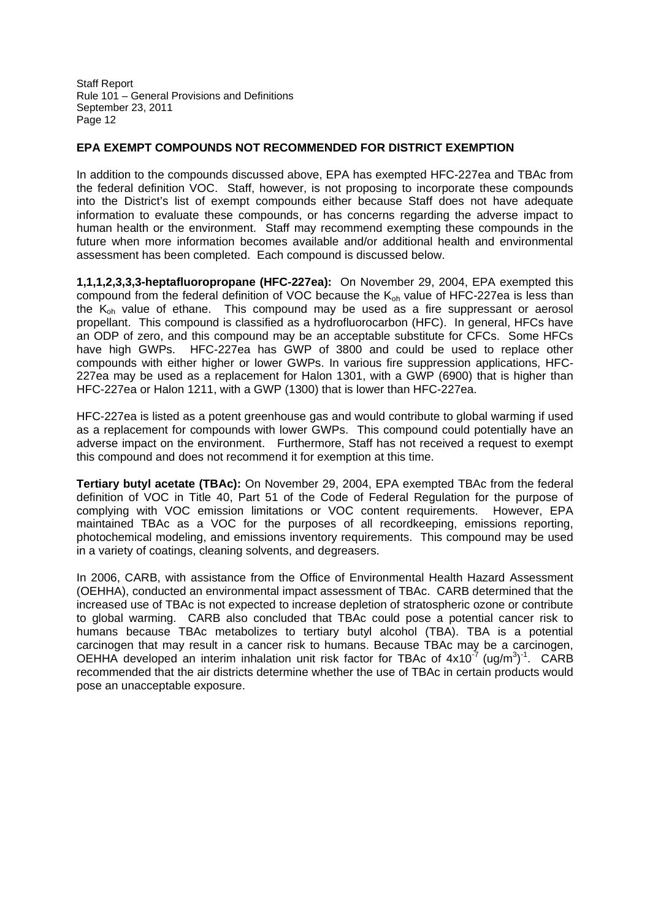# **EPA EXEMPT COMPOUNDS NOT RECOMMENDED FOR DISTRICT EXEMPTION**

In addition to the compounds discussed above, EPA has exempted HFC-227ea and TBAc from the federal definition VOC. Staff, however, is not proposing to incorporate these compounds into the District's list of exempt compounds either because Staff does not have adequate information to evaluate these compounds, or has concerns regarding the adverse impact to human health or the environment. Staff may recommend exempting these compounds in the future when more information becomes available and/or additional health and environmental assessment has been completed. Each compound is discussed below.

**1,1,1,2,3,3,3-heptafluoropropane (HFC-227ea):** On November 29, 2004, EPA exempted this compound from the federal definition of VOC because the  $K_{oh}$  value of HFC-227ea is less than the Koh value of ethane. This compound may be used as a fire suppressant or aerosol propellant. This compound is classified as a hydrofluorocarbon (HFC). In general, HFCs have an ODP of zero, and this compound may be an acceptable substitute for CFCs. Some HFCs have high GWPs. HFC-227ea has GWP of 3800 and could be used to replace other compounds with either higher or lower GWPs. In various fire suppression applications, HFC-227ea may be used as a replacement for Halon 1301, with a GWP (6900) that is higher than HFC-227ea or Halon 1211, with a GWP (1300) that is lower than HFC-227ea.

HFC-227ea is listed as a potent greenhouse gas and would contribute to global warming if used as a replacement for compounds with lower GWPs. This compound could potentially have an adverse impact on the environment. Furthermore, Staff has not received a request to exempt this compound and does not recommend it for exemption at this time.

**Tertiary butyl acetate (TBAc):** On November 29, 2004, EPA exempted TBAc from the federal definition of VOC in Title 40, Part 51 of the Code of Federal Regulation for the purpose of complying with VOC emission limitations or VOC content requirements. However, EPA maintained TBAc as a VOC for the purposes of all recordkeeping, emissions reporting, photochemical modeling, and emissions inventory requirements. This compound may be used in a variety of coatings, cleaning solvents, and degreasers.

In 2006, CARB, with assistance from the Office of Environmental Health Hazard Assessment (OEHHA), conducted an environmental impact assessment of TBAc. CARB determined that the increased use of TBAc is not expected to increase depletion of stratospheric ozone or contribute to global warming. CARB also concluded that TBAc could pose a potential cancer risk to humans because TBAc metabolizes to tertiary butyl alcohol (TBA). TBA is a potential carcinogen that may result in a cancer risk to humans. Because TBAc may be a carcinogen, OEHHA developed an interim inhalation unit risk factor for TBAc of  $4x10^{-7}$  (ug/m<sup>3</sup>)<sup>-1</sup>. CARB recommended that the air districts determine whether the use of TBAc in certain products would pose an unacceptable exposure.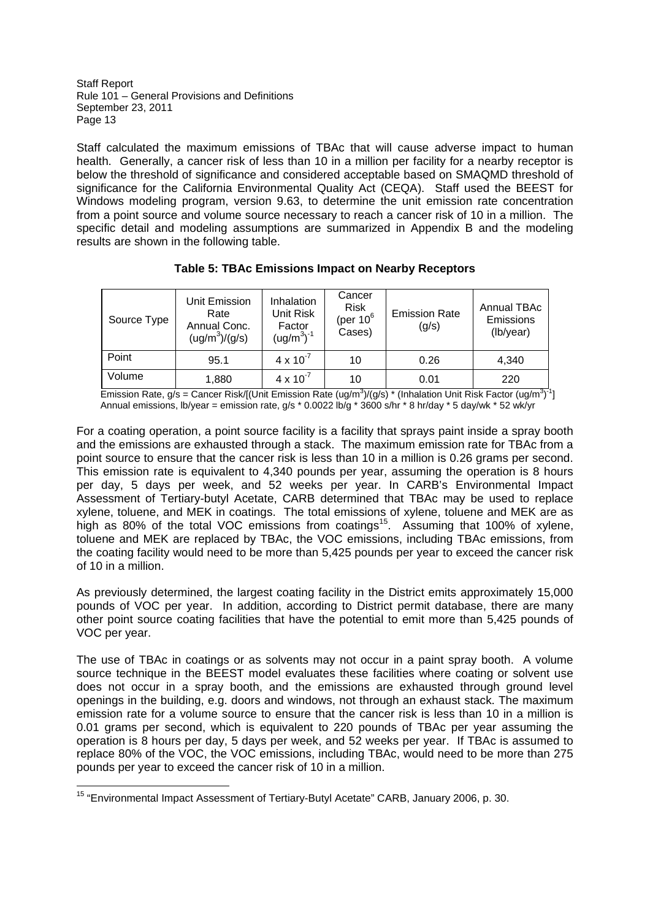Staff calculated the maximum emissions of TBAc that will cause adverse impact to human health. Generally, a cancer risk of less than 10 in a million per facility for a nearby receptor is below the threshold of significance and considered acceptable based on SMAQMD threshold of significance for the California Environmental Quality Act (CEQA). Staff used the BEEST for Windows modeling program, version 9.63, to determine the unit emission rate concentration from a point source and volume source necessary to reach a cancer risk of 10 in a million. The specific detail and modeling assumptions are summarized in Appendix B and the modeling results are shown in the following table.

| Source Type | Unit Emission<br>Rate<br>Annual Conc.<br>$(ug/m^3)/(g/s)$ | Inhalation<br><b>Unit Risk</b><br>Factor<br>$(ug/m3)-1$ | Cancer<br><b>Risk</b><br>(per 10 $6$<br>Cases) | <b>Emission Rate</b><br>(g/s) | Annual TBAc<br>Emissions<br>(lb/year) |
|-------------|-----------------------------------------------------------|---------------------------------------------------------|------------------------------------------------|-------------------------------|---------------------------------------|
| Point       | 95.1                                                      | $4 \times 10^{-7}$                                      | 10                                             | 0.26                          | 4,340                                 |
| Volume      | 1,880                                                     | $4 \times 10^{-7}$                                      | 10                                             | 0.01                          | 220                                   |

**Table 5: TBAc Emissions Impact on Nearby Receptors**

Emission Rate, g/s = Cancer Risk/[(Unit Emission Rate (ug/m<sup>3</sup>)/(g/s) \* (Inhalation Unit Risk Factor (ug/m<sup>3</sup>)<sup>-1</sup>] Annual emissions, lb/year = emission rate, g/s  $*$  0.0022 lb/g  $*$  3600 s/hr  $*$  8 hr/day  $*$  5 day/wk  $*$  52 wk/yr

For a coating operation, a point source facility is a facility that sprays paint inside a spray booth and the emissions are exhausted through a stack. The maximum emission rate for TBAc from a point source to ensure that the cancer risk is less than 10 in a million is 0.26 grams per second. This emission rate is equivalent to 4,340 pounds per year, assuming the operation is 8 hours per day, 5 days per week, and 52 weeks per year. In CARB's Environmental Impact Assessment of Tertiary-butyl Acetate, CARB determined that TBAc may be used to replace xylene, toluene, and MEK in coatings. The total emissions of xylene, toluene and MEK are as high as 80% of the total VOC emissions from coatings<sup>15</sup>. Assuming that 100% of xylene, toluene and MEK are replaced by TBAc, the VOC emissions, including TBAc emissions, from the coating facility would need to be more than 5,425 pounds per year to exceed the cancer risk of 10 in a million.

As previously determined, the largest coating facility in the District emits approximately 15,000 pounds of VOC per year. In addition, according to District permit database, there are many other point source coating facilities that have the potential to emit more than 5,425 pounds of VOC per year.

The use of TBAc in coatings or as solvents may not occur in a paint spray booth. A volume source technique in the BEEST model evaluates these facilities where coating or solvent use does not occur in a spray booth, and the emissions are exhausted through ground level openings in the building, e.g. doors and windows, not through an exhaust stack. The maximum emission rate for a volume source to ensure that the cancer risk is less than 10 in a million is 0.01 grams per second, which is equivalent to 220 pounds of TBAc per year assuming the operation is 8 hours per day, 5 days per week, and 52 weeks per year. If TBAc is assumed to replace 80% of the VOC, the VOC emissions, including TBAc, would need to be more than 275 pounds per year to exceed the cancer risk of 10 in a million.

<sup>15</sup> "Environmental Impact Assessment of Tertiary-Butyl Acetate" CARB, January 2006, p. 30.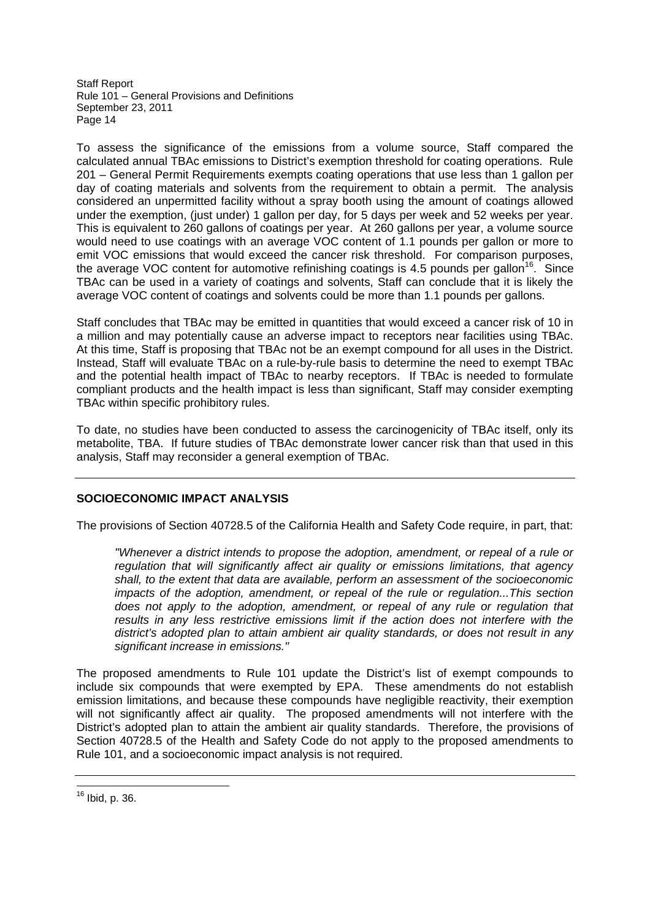To assess the significance of the emissions from a volume source, Staff compared the calculated annual TBAc emissions to District's exemption threshold for coating operations. Rule 201 – General Permit Requirements exempts coating operations that use less than 1 gallon per day of coating materials and solvents from the requirement to obtain a permit. The analysis considered an unpermitted facility without a spray booth using the amount of coatings allowed under the exemption, (just under) 1 gallon per day, for 5 days per week and 52 weeks per year. This is equivalent to 260 gallons of coatings per year. At 260 gallons per year, a volume source would need to use coatings with an average VOC content of 1.1 pounds per gallon or more to emit VOC emissions that would exceed the cancer risk threshold. For comparison purposes, the average VOC content for automotive refinishing coatings is 4.5 pounds per gallon<sup>16</sup>. Since TBAc can be used in a variety of coatings and solvents, Staff can conclude that it is likely the average VOC content of coatings and solvents could be more than 1.1 pounds per gallons.

Staff concludes that TBAc may be emitted in quantities that would exceed a cancer risk of 10 in a million and may potentially cause an adverse impact to receptors near facilities using TBAc. At this time, Staff is proposing that TBAc not be an exempt compound for all uses in the District. Instead, Staff will evaluate TBAc on a rule-by-rule basis to determine the need to exempt TBAc and the potential health impact of TBAc to nearby receptors. If TBAc is needed to formulate compliant products and the health impact is less than significant, Staff may consider exempting TBAc within specific prohibitory rules.

To date, no studies have been conducted to assess the carcinogenicity of TBAc itself, only its metabolite, TBA. If future studies of TBAc demonstrate lower cancer risk than that used in this analysis, Staff may reconsider a general exemption of TBAc.

# **SOCIOECONOMIC IMPACT ANALYSIS**

The provisions of Section 40728.5 of the California Health and Safety Code require, in part, that:

*"Whenever a district intends to propose the adoption, amendment, or repeal of a rule or regulation that will significantly affect air quality or emissions limitations, that agency shall, to the extent that data are available, perform an assessment of the socioeconomic impacts of the adoption, amendment, or repeal of the rule or regulation...This section does not apply to the adoption, amendment, or repeal of any rule or regulation that results in any less restrictive emissions limit if the action does not interfere with the district's adopted plan to attain ambient air quality standards, or does not result in any significant increase in emissions."*

The proposed amendments to Rule 101 update the District's list of exempt compounds to include six compounds that were exempted by EPA. These amendments do not establish emission limitations, and because these compounds have negligible reactivity, their exemption will not significantly affect air quality. The proposed amendments will not interfere with the District's adopted plan to attain the ambient air quality standards. Therefore, the provisions of Section 40728.5 of the Health and Safety Code do not apply to the proposed amendments to Rule 101, and a socioeconomic impact analysis is not required.

<sup>16</sup> Ibid, p. 36.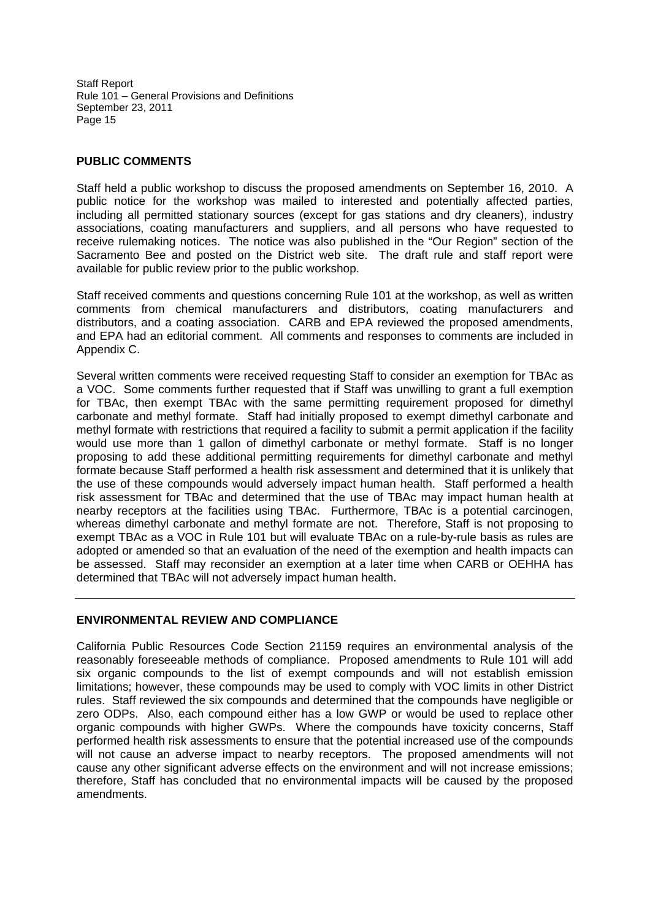## **PUBLIC COMMENTS**

Staff held a public workshop to discuss the proposed amendments on September 16, 2010. A public notice for the workshop was mailed to interested and potentially affected parties, including all permitted stationary sources (except for gas stations and dry cleaners), industry associations, coating manufacturers and suppliers, and all persons who have requested to receive rulemaking notices. The notice was also published in the "Our Region" section of the Sacramento Bee and posted on the District web site. The draft rule and staff report were available for public review prior to the public workshop.

Staff received comments and questions concerning Rule 101 at the workshop, as well as written comments from chemical manufacturers and distributors, coating manufacturers and distributors, and a coating association. CARB and EPA reviewed the proposed amendments, and EPA had an editorial comment. All comments and responses to comments are included in Appendix C.

Several written comments were received requesting Staff to consider an exemption for TBAc as a VOC. Some comments further requested that if Staff was unwilling to grant a full exemption for TBAc, then exempt TBAc with the same permitting requirement proposed for dimethyl carbonate and methyl formate. Staff had initially proposed to exempt dimethyl carbonate and methyl formate with restrictions that required a facility to submit a permit application if the facility would use more than 1 gallon of dimethyl carbonate or methyl formate. Staff is no longer proposing to add these additional permitting requirements for dimethyl carbonate and methyl formate because Staff performed a health risk assessment and determined that it is unlikely that the use of these compounds would adversely impact human health. Staff performed a health risk assessment for TBAc and determined that the use of TBAc may impact human health at nearby receptors at the facilities using TBAc. Furthermore, TBAc is a potential carcinogen, whereas dimethyl carbonate and methyl formate are not. Therefore, Staff is not proposing to exempt TBAc as a VOC in Rule 101 but will evaluate TBAc on a rule-by-rule basis as rules are adopted or amended so that an evaluation of the need of the exemption and health impacts can be assessed. Staff may reconsider an exemption at a later time when CARB or OEHHA has determined that TBAc will not adversely impact human health.

## **ENVIRONMENTAL REVIEW AND COMPLIANCE**

California Public Resources Code Section 21159 requires an environmental analysis of the reasonably foreseeable methods of compliance. Proposed amendments to Rule 101 will add six organic compounds to the list of exempt compounds and will not establish emission limitations; however, these compounds may be used to comply with VOC limits in other District rules. Staff reviewed the six compounds and determined that the compounds have negligible or zero ODPs. Also, each compound either has a low GWP or would be used to replace other organic compounds with higher GWPs. Where the compounds have toxicity concerns, Staff performed health risk assessments to ensure that the potential increased use of the compounds will not cause an adverse impact to nearby receptors. The proposed amendments will not cause any other significant adverse effects on the environment and will not increase emissions; therefore, Staff has concluded that no environmental impacts will be caused by the proposed amendments.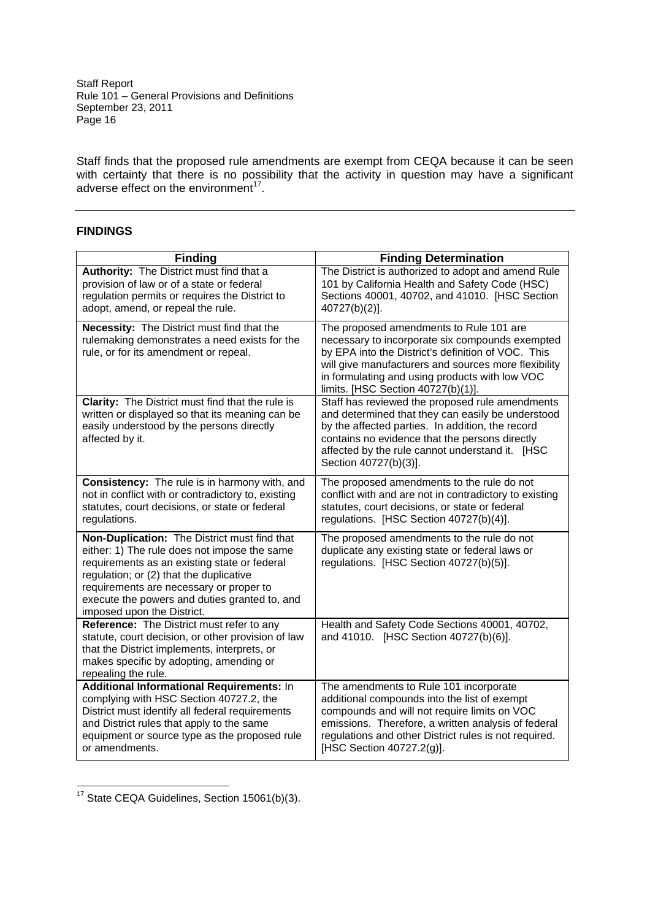Staff finds that the proposed rule amendments are exempt from CEQA because it can be seen with certainty that there is no possibility that the activity in question may have a significant adverse effect on the environment<sup>17</sup>.

# **FINDINGS**

| <b>Finding</b>                                                                                                                                                                                                                                                                                                    | <b>Finding Determination</b>                                                                                                                                                                                                                                                                     |
|-------------------------------------------------------------------------------------------------------------------------------------------------------------------------------------------------------------------------------------------------------------------------------------------------------------------|--------------------------------------------------------------------------------------------------------------------------------------------------------------------------------------------------------------------------------------------------------------------------------------------------|
| Authority: The District must find that a<br>provision of law or of a state or federal<br>regulation permits or requires the District to<br>adopt, amend, or repeal the rule.                                                                                                                                      | The District is authorized to adopt and amend Rule<br>101 by California Health and Safety Code (HSC)<br>Sections 40001, 40702, and 41010. [HSC Section<br>40727(b)(2)].                                                                                                                          |
| <b>Necessity:</b> The District must find that the<br>rulemaking demonstrates a need exists for the<br>rule, or for its amendment or repeal.                                                                                                                                                                       | The proposed amendments to Rule 101 are<br>necessary to incorporate six compounds exempted<br>by EPA into the District's definition of VOC. This<br>will give manufacturers and sources more flexibility<br>in formulating and using products with low VOC<br>limits. [HSC Section 40727(b)(1)]. |
| Clarity: The District must find that the rule is<br>written or displayed so that its meaning can be<br>easily understood by the persons directly<br>affected by it.                                                                                                                                               | Staff has reviewed the proposed rule amendments<br>and determined that they can easily be understood<br>by the affected parties. In addition, the record<br>contains no evidence that the persons directly<br>affected by the rule cannot understand it. [HSC<br>Section 40727(b)(3)].           |
| Consistency: The rule is in harmony with, and<br>not in conflict with or contradictory to, existing<br>statutes, court decisions, or state or federal<br>regulations.                                                                                                                                             | The proposed amendments to the rule do not<br>conflict with and are not in contradictory to existing<br>statutes, court decisions, or state or federal<br>regulations. [HSC Section 40727(b)(4)].                                                                                                |
| Non-Duplication: The District must find that<br>either: 1) The rule does not impose the same<br>requirements as an existing state or federal<br>regulation; or (2) that the duplicative<br>requirements are necessary or proper to<br>execute the powers and duties granted to, and<br>imposed upon the District. | The proposed amendments to the rule do not<br>duplicate any existing state or federal laws or<br>regulations. [HSC Section 40727(b)(5)].                                                                                                                                                         |
| Reference: The District must refer to any<br>statute, court decision, or other provision of law<br>that the District implements, interprets, or<br>makes specific by adopting, amending or<br>repealing the rule.                                                                                                 | Health and Safety Code Sections 40001, 40702,<br>and 41010. [HSC Section 40727(b)(6)].                                                                                                                                                                                                           |
| Additional Informational Requirements: In<br>complying with HSC Section 40727.2, the<br>District must identify all federal requirements<br>and District rules that apply to the same<br>equipment or source type as the proposed rule<br>or amendments.                                                           | The amendments to Rule 101 incorporate<br>additional compounds into the list of exempt<br>compounds and will not require limits on VOC<br>emissions. Therefore, a written analysis of federal<br>regulations and other District rules is not required.<br>[HSC Section 40727.2(g)].              |

<sup>17</sup> State CEQA Guidelines, Section 15061(b)(3).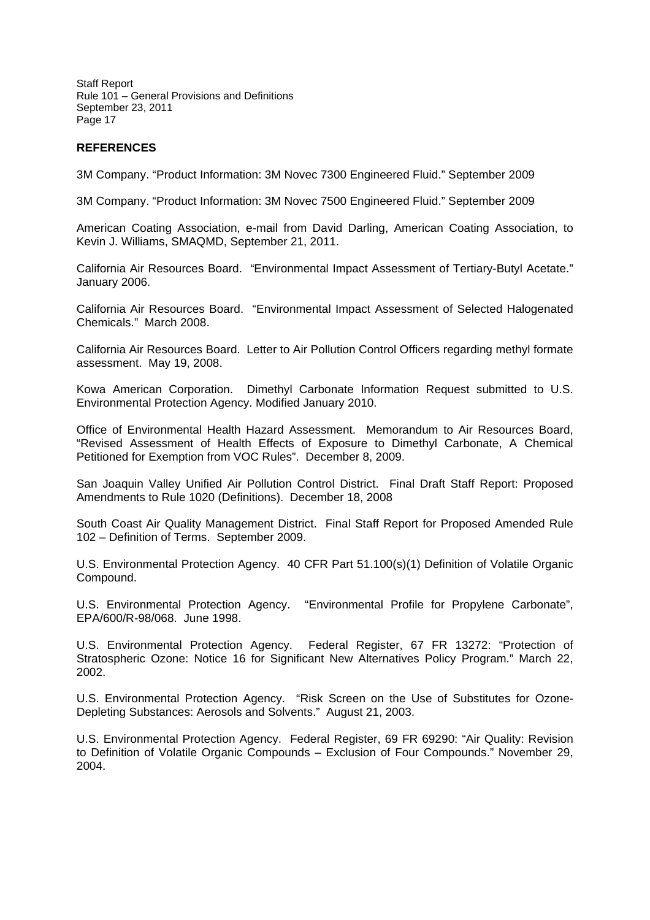## **REFERENCES**

3M Company. "Product Information: 3M Novec 7300 Engineered Fluid." September 2009

3M Company. "Product Information: 3M Novec 7500 Engineered Fluid." September 2009

American Coating Association, e-mail from David Darling, American Coating Association, to Kevin J. Williams, SMAQMD, September 21, 2011.

California Air Resources Board. "Environmental Impact Assessment of Tertiary-Butyl Acetate." January 2006.

California Air Resources Board. "Environmental Impact Assessment of Selected Halogenated Chemicals." March 2008.

California Air Resources Board. Letter to Air Pollution Control Officers regarding methyl formate assessment. May 19, 2008.

Kowa American Corporation. Dimethyl Carbonate Information Request submitted to U.S. Environmental Protection Agency. Modified January 2010.

Office of Environmental Health Hazard Assessment. Memorandum to Air Resources Board, "Revised Assessment of Health Effects of Exposure to Dimethyl Carbonate, A Chemical Petitioned for Exemption from VOC Rules". December 8, 2009.

San Joaquin Valley Unified Air Pollution Control District. Final Draft Staff Report: Proposed Amendments to Rule 1020 (Definitions). December 18, 2008

South Coast Air Quality Management District. Final Staff Report for Proposed Amended Rule 102 – Definition of Terms. September 2009.

U.S. Environmental Protection Agency. 40 CFR Part 51.100(s)(1) Definition of Volatile Organic Compound.

U.S. Environmental Protection Agency. "Environmental Profile for Propylene Carbonate", EPA/600/R-98/068. June 1998.

U.S. Environmental Protection Agency. Federal Register, 67 FR 13272: "Protection of Stratospheric Ozone: Notice 16 for Significant New Alternatives Policy Program." March 22, 2002.

U.S. Environmental Protection Agency. "Risk Screen on the Use of Substitutes for Ozone-Depleting Substances: Aerosols and Solvents." August 21, 2003.

U.S. Environmental Protection Agency. Federal Register, 69 FR 69290: "Air Quality: Revision to Definition of Volatile Organic Compounds – Exclusion of Four Compounds." November 29, 2004.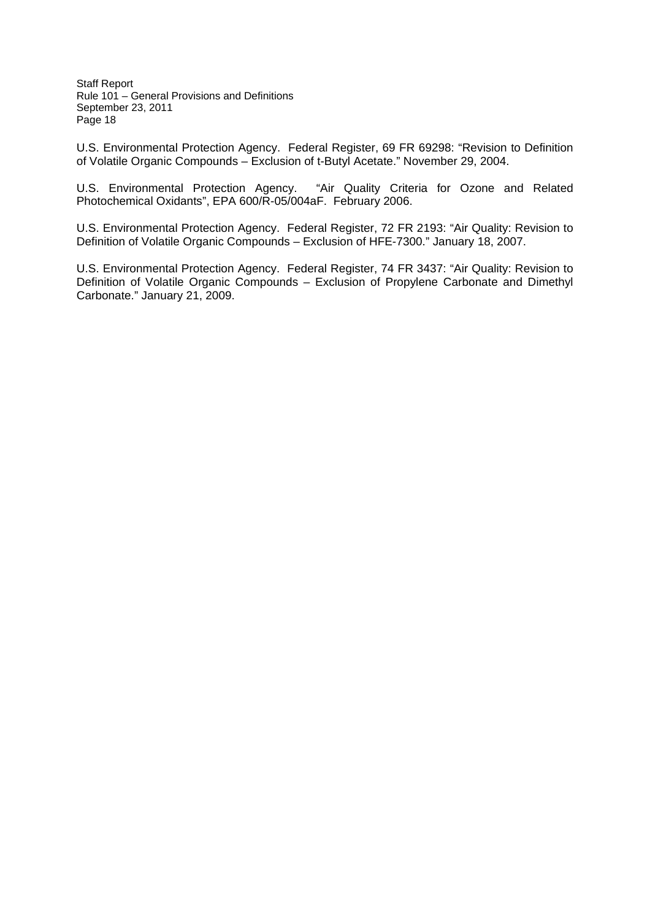U.S. Environmental Protection Agency. Federal Register, 69 FR 69298: "Revision to Definition of Volatile Organic Compounds – Exclusion of t-Butyl Acetate." November 29, 2004.

U.S. Environmental Protection Agency. "Air Quality Criteria for Ozone and Related Photochemical Oxidants", EPA 600/R-05/004aF. February 2006.

U.S. Environmental Protection Agency. Federal Register, 72 FR 2193: "Air Quality: Revision to Definition of Volatile Organic Compounds – Exclusion of HFE-7300." January 18, 2007.

U.S. Environmental Protection Agency. Federal Register, 74 FR 3437: "Air Quality: Revision to Definition of Volatile Organic Compounds – Exclusion of Propylene Carbonate and Dimethyl Carbonate." January 21, 2009.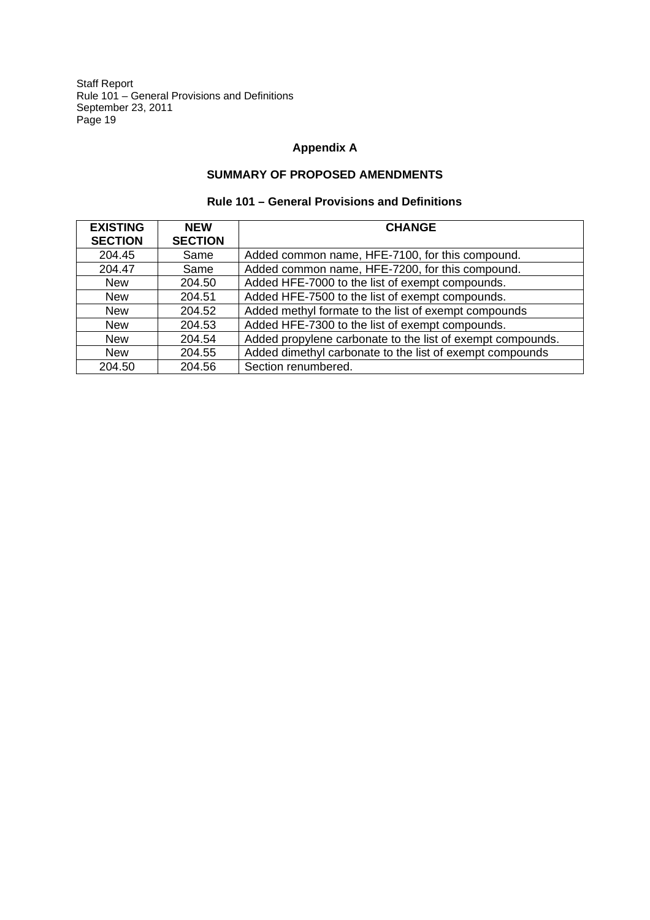# **Appendix A**

# **SUMMARY OF PROPOSED AMENDMENTS**

| <b>EXISTING</b><br><b>SECTION</b> | <b>NEW</b><br><b>SECTION</b> | <b>CHANGE</b>                                              |
|-----------------------------------|------------------------------|------------------------------------------------------------|
| 204.45                            | Same                         | Added common name, HFE-7100, for this compound.            |
| 204.47                            | Same                         | Added common name, HFE-7200, for this compound.            |
| <b>New</b>                        | 204.50                       | Added HFE-7000 to the list of exempt compounds.            |
| <b>New</b>                        | 204.51                       | Added HFE-7500 to the list of exempt compounds.            |
| <b>New</b>                        | 204.52                       | Added methyl formate to the list of exempt compounds       |
| <b>New</b>                        | 204.53                       | Added HFE-7300 to the list of exempt compounds.            |
| <b>New</b>                        | 204.54                       | Added propylene carbonate to the list of exempt compounds. |
| <b>New</b>                        | 204.55                       | Added dimethyl carbonate to the list of exempt compounds   |
| 204.50                            | 204.56                       | Section renumbered.                                        |

# **Rule 101 – General Provisions and Definitions**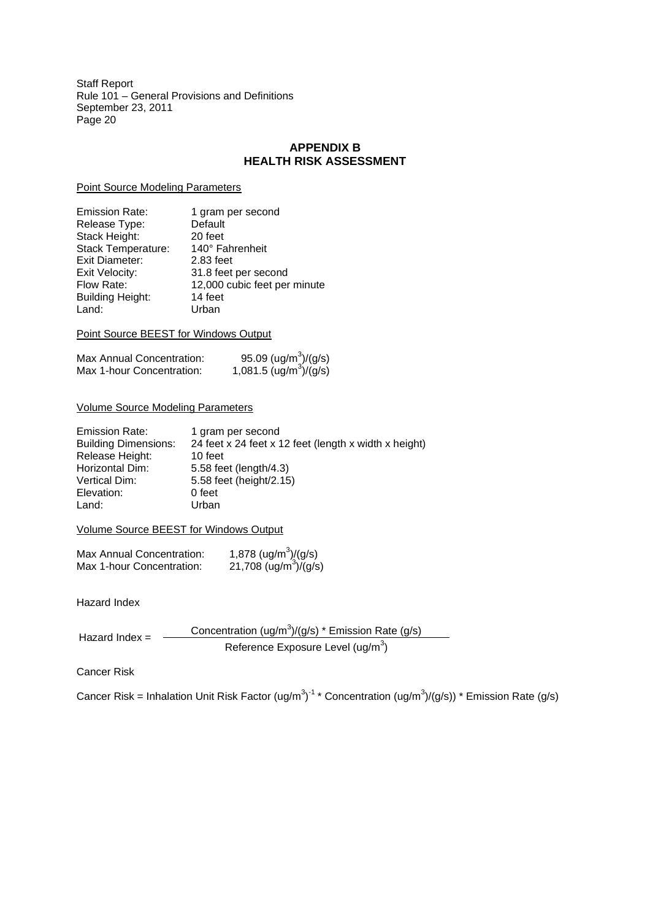# **APPENDIX B HEALTH RISK ASSESSMENT**

Point Source Modeling Parameters

| 1 gram per second<br>Default |
|------------------------------|
| 20 feet                      |
| 140° Fahrenheit              |
| 2.83 feet                    |
| 31.8 feet per second         |
| 12,000 cubic feet per minute |
| 14 feet                      |
| Urban                        |
|                              |

Point Source BEEST for Windows Output

| Max Annual Concentration: | 95.09 (ug/m <sup>3</sup> )/(g/s)<br>1,081.5 (ug/m <sup>3</sup> )/(g/s) |
|---------------------------|------------------------------------------------------------------------|
| Max 1-hour Concentration: |                                                                        |

### Volume Source Modeling Parameters

| <b>Emission Rate:</b>       | 1 gram per second                                     |
|-----------------------------|-------------------------------------------------------|
| <b>Building Dimensions:</b> | 24 feet x 24 feet x 12 feet (length x width x height) |
| Release Height:             | 10 feet                                               |
| Horizontal Dim:             | 5.58 feet (length/4.3)                                |
| Vertical Dim:               | 5.58 feet (height/2.15)                               |
| Elevation:                  | 0 feet                                                |
| Land:                       | Urban                                                 |

Volume Source BEEST for Windows Output

| Max Annual Concentration: | 1,878 (ug/m <sup>3</sup> )/(g/s)  |
|---------------------------|-----------------------------------|
| Max 1-hour Concentration: | 21,708 (ug/m <sup>3</sup> )/(g/s) |

Hazard Index

Hazard Index =  $\frac{Concentration (ug/m^3)/(g/s) * Emission Rate (g/s)}{2}$ Reference Exposure Level (ug/m $^3$ )

Cancer Risk

Cancer Risk = Inhalation Unit Risk Factor (ug/m<sup>3</sup>)<sup>-1</sup> \* Concentration (ug/m<sup>3</sup>)/(g/s)) \* Emission Rate (g/s)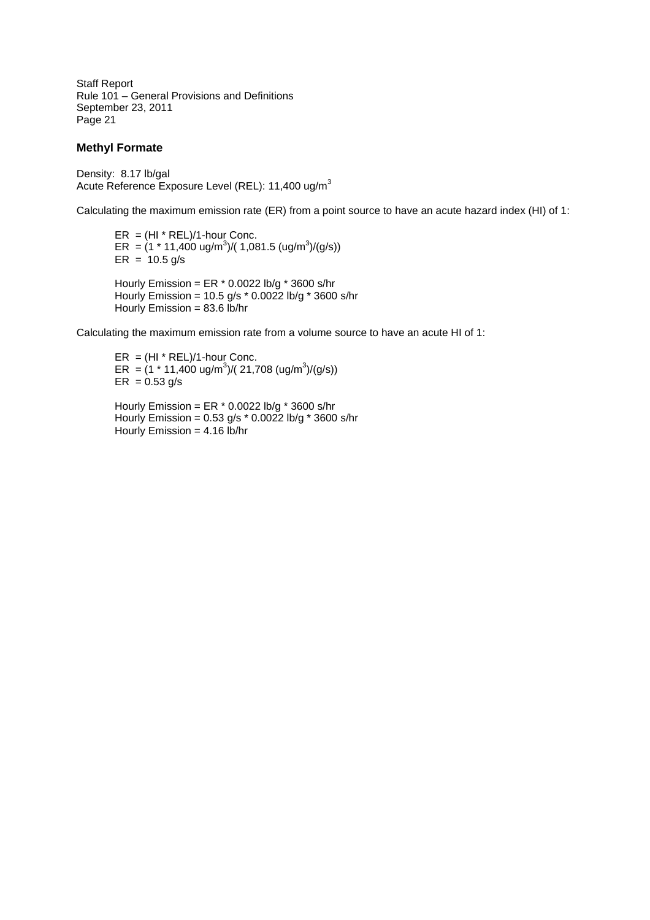### **Methyl Formate**

Density: 8.17 lb/gal Acute Reference Exposure Level (REL): 11,400 ug/m<sup>3</sup>

Calculating the maximum emission rate (ER) from a point source to have an acute hazard index (HI) of 1:

 $ER = (HI * REL)/1$ -hour Conc.  $ER = (1 * 11,400 \text{ ug/m}^3)/(1,081.5 \text{ (ug/m}^3)/(g/s))$  $ER = 10.5 g/s$ Hourly Emission = ER \* 0.0022 lb/g \* 3600 s/hr

Hourly Emission = 10.5 g/s  $*$  0.0022 lb/g  $*$  3600 s/hr Hourly Emission =  $83.6$  lb/hr

Calculating the maximum emission rate from a volume source to have an acute HI of 1:

 $ER = (HI * REL)/1$ -hour Conc.  $ER = (1 * 11,400 \text{ ug/m}^3)/(21,708 \text{ (ug/m}^3)/(g/s))$  $ER = 0.53 g/s$ 

Hourly Emission = ER  $*$  0.0022 lb/g  $*$  3600 s/hr Hourly Emission = 0.53 g/s \* 0.0022 lb/g \* 3600 s/hr Hourly Emission = 4.16 lb/hr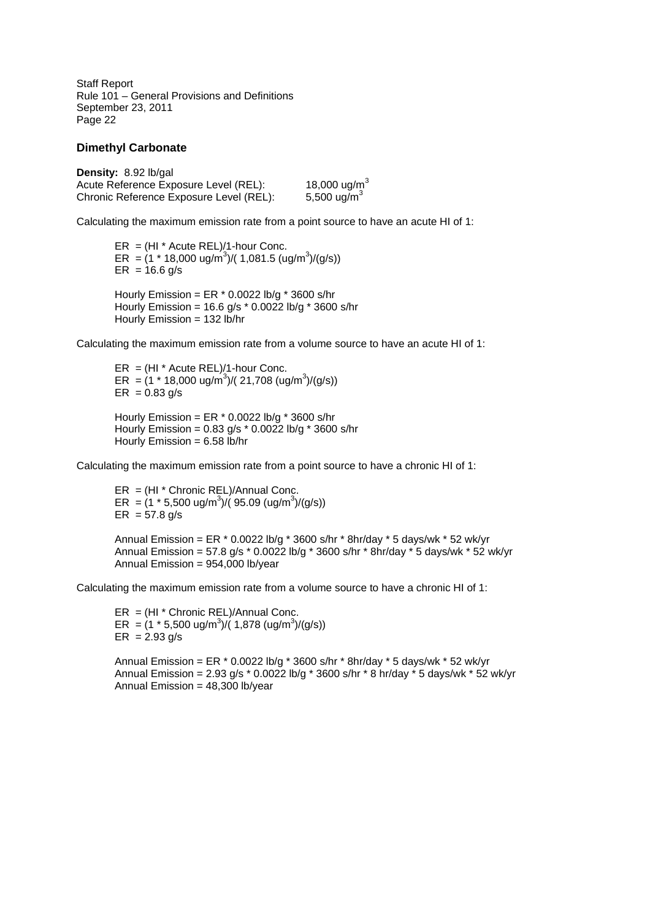#### **Dimethyl Carbonate**

**Density:** 8.92 lb/gal Acute Reference Exposure Level (REL): 18,000 ug/m<sup>3</sup><br>Chronic Reference Exposure Level (REL): 5,500 ug/m<sup>3</sup> Chronic Reference Exposure Level (REL):

Calculating the maximum emission rate from a point source to have an acute HI of 1:

 $ER = (HI * Acute REL)/1$ -hour Conc.  $ER = (1 * 18,000 \text{ ug/m}^3)/(1,081.5 \text{ (ug/m}^3)/(g/s))$  $ER = 16.6$  g/s Hourly Emission = ER \* 0.0022 lb/g \* 3600 s/hr

Hourly Emission = 16.6 g/s \* 0.0022 lb/g \* 3600 s/hr Hourly Emission = 132 lb/hr

Calculating the maximum emission rate from a volume source to have an acute HI of 1:

 $ER = (HI * Acute REL)/1$ -hour Conc. ER =  $(1 * 18,000 \text{ ug/m}^3)/(21,708 \text{ (ug/m}^3)/(g/s))$  $ER = 0.83$  g/s Hourly Emission = ER \* 0.0022 lb/g \* 3600 s/hr Hourly Emission = 0.83 g/s \* 0.0022 lb/g \* 3600 s/hr Hourly Emission =  $6.58$  lb/hr

Calculating the maximum emission rate from a point source to have a chronic HI of 1:

ER = (HI \* Chronic REL)/Annual Conc. ER =  $(1 * 5,500 \text{ ug/m}^3) / (95.09 \text{ (ug/m}^3) / (g/s))$  $ER = 57.8$  g/s

Annual Emission = ER  $*$  0.0022 lb/g  $*$  3600 s/hr  $*$  8hr/day  $*$  5 days/wk  $*$  52 wk/yr Annual Emission = 57.8 g/s \* 0.0022 lb/g \* 3600 s/hr \* 8hr/day \* 5 days/wk \* 52 wk/yr Annual Emission = 954,000 lb/year

Calculating the maximum emission rate from a volume source to have a chronic HI of 1:

 $ER = (HI * Chronic REL)/Annual Conc.$ ER =  $(1 * 5,500 \text{ ug/m}^3)/(1,878 \text{ (ug/m}^3)/(g/s))$  $ER = 2.93 g/s$ 

Annual Emission = ER \* 0.0022 lb/g \* 3600 s/hr \* 8hr/day \* 5 days/wk \* 52 wk/yr Annual Emission = 2.93 g/s \* 0.0022 lb/g \* 3600 s/hr \* 8 hr/day \* 5 days/wk \* 52 wk/yr Annual Emission = 48,300 lb/year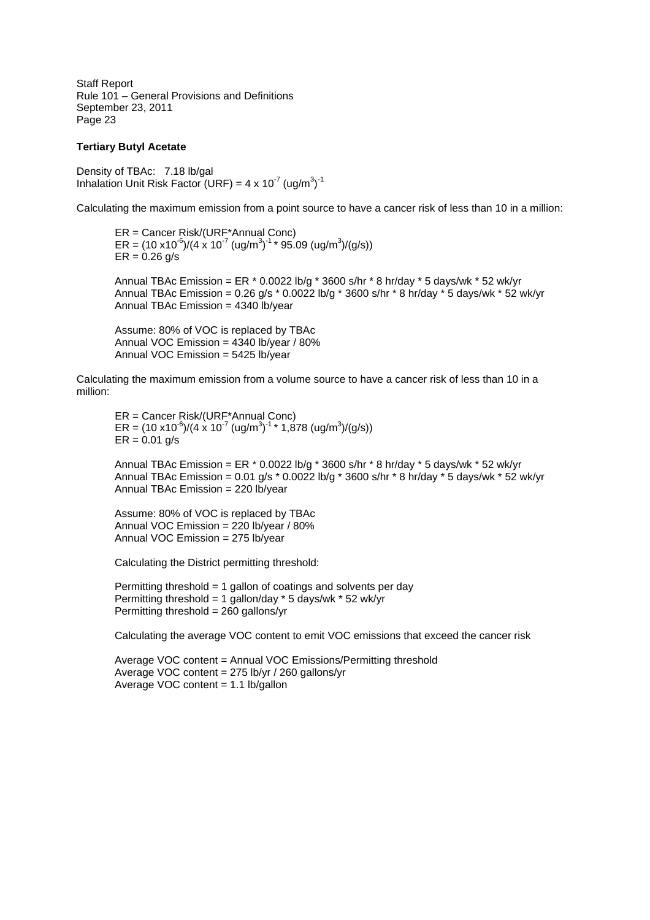#### **Tertiary Butyl Acetate**

Density of TBAc: 7.18 lb/gal Inhalation Unit Risk Factor (URF) =  $4 \times 10^{-7}$  (ug/m<sup>3</sup>)<sup>-1</sup>

Calculating the maximum emission from a point source to have a cancer risk of less than 10 in a million:

ER = Cancer Risk/(URF\*Annual Conc) ER =  $(10 \times 10^{-6})/(4 \times 10^{-7}$  (ug/m<sup>3</sup>)<sup>-1</sup> \* 95.09 (ug/m<sup>3</sup>)/(g/s))  $ER = 0.26$  g/s

Annual TBAc Emission = ER \* 0.0022 lb/g \* 3600 s/hr \* 8 hr/day \* 5 days/wk \* 52 wk/yr Annual TBAc Emission =  $0.26$  g/s  $*$  0.0022 lb/g  $*$  3600 s/hr  $*$  8 hr/day  $*$  5 days/wk  $*$  52 wk/yr Annual TBAc Emission = 4340 lb/year

Assume: 80% of VOC is replaced by TBAc Annual VOC Emission = 4340 lb/year / 80% Annual VOC Emission = 5425 lb/year

Calculating the maximum emission from a volume source to have a cancer risk of less than 10 in a million:

ER = Cancer Risk/(URF\*Annual Conc) ER =  $(10 \times 10^{-6})/(4 \times 10^{-7}$  (ug/m<sup>3</sup>)<sup>-1</sup> \* 1,878 (ug/m<sup>3</sup>)/(g/s))  $ER = 0.01$  g/s

Annual TBAc Emission = ER  $*$  0.0022 lb/g  $*$  3600 s/hr  $*$  8 hr/day  $*$  5 days/wk  $*$  52 wk/yr Annual TBAc Emission = 0.01 g/s \* 0.0022 lb/g \* 3600 s/hr \* 8 hr/day \* 5 days/wk \* 52 wk/yr Annual TBAc Emission = 220 lb/year

Assume: 80% of VOC is replaced by TBAc Annual VOC Emission = 220 lb/year / 80% Annual VOC Emission = 275 lb/year

Calculating the District permitting threshold:

Permitting threshold = 1 gallon of coatings and solvents per day Permitting threshold = 1 gallon/day \* 5 days/wk \* 52 wk/yr Permitting threshold = 260 gallons/yr

Calculating the average VOC content to emit VOC emissions that exceed the cancer risk

Average VOC content = Annual VOC Emissions/Permitting threshold Average VOC content = 275 lb/yr / 260 gallons/yr Average VOC content = 1.1 lb/gallon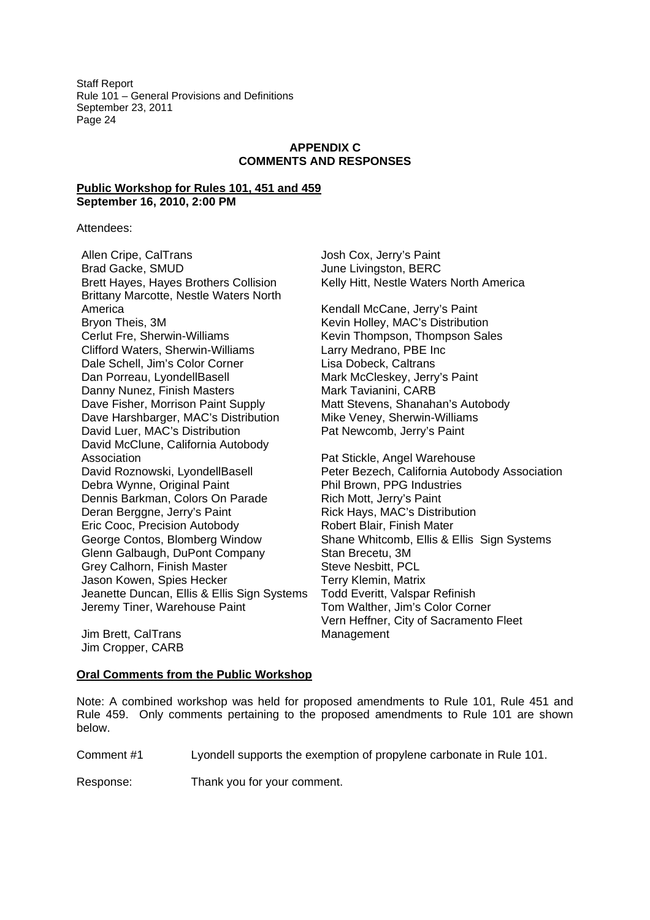# **APPENDIX C COMMENTS AND RESPONSES**

### **Public Workshop for Rules 101, 451 and 459 September 16, 2010, 2:00 PM**

Attendees:

Allen Cripe, CalTrans Josh Cox, Jerry's Paint Brad Gacke, SMUD June Livingston, BERC Brett Hayes, Hayes Brothers Collision Kelly Hitt, Nestle Waters North America Brittany Marcotte, Nestle Waters North America **Kendall McCane, Jerry's Paint** Bryon Theis, 3M **Keyin Holley, MAC's Distribution** Cerlut Fre, Sherwin-Williams Kevin Thompson, Thompson Sales Clifford Waters, Sherwin-Williams Larry Medrano, PBE Inc Dale Schell, Jim's Color Corner Lisa Dobeck, Caltrans Dan Porreau, LyondellBasell Mark McCleskey, Jerry's Paint Danny Nunez, Finish Masters Mark Tavianini, CARB Dave Fisher, Morrison Paint Supply Matt Stevens, Shanahan's Autobody Dave Harshbarger, MAC's Distribution Mike Veney, Sherwin-Williams David Luer, MAC's Distribution Pat Newcomb, Jerry's Paint David McClune, California Autobody Association **Pat Stickle, Angel Warehouse** Debra Wynne, Original Paint Phil Brown, PPG Industries Dennis Barkman, Colors On Parade Rich Mott, Jerry's Paint Deran Berggne, Jerry's Paint **Rick Hays, MAC's Distribution** Eric Cooc, Precision Autobody Robert Blair, Finish Mater Glenn Galbaugh, DuPont Company Stan Brecetu, 3M Grey Calhorn, Finish Master Steve Nesbitt, PCL Jason Kowen, Spies Hecker Terry Klemin, Matrix Jeanette Duncan, Ellis & Ellis Sign Systems Todd Everitt, Valspar Refinish Jeremy Tiner, Warehouse Paint Tom Walther, Jim's Color Corner

David Roznowski, LyondellBasell Peter Bezech, California Autobody Association George Contos, Blomberg Window Shane Whitcomb, Ellis & Ellis Sign Systems Vern Heffner, City of Sacramento Fleet Management

Jim Brett, CalTrans Jim Cropper, CARB

## **Oral Comments from the Public Workshop**

Note: A combined workshop was held for proposed amendments to Rule 101, Rule 451 and Rule 459. Only comments pertaining to the proposed amendments to Rule 101 are shown below.

Comment #1 Lyondell supports the exemption of propylene carbonate in Rule 101.

Response: Thank you for your comment.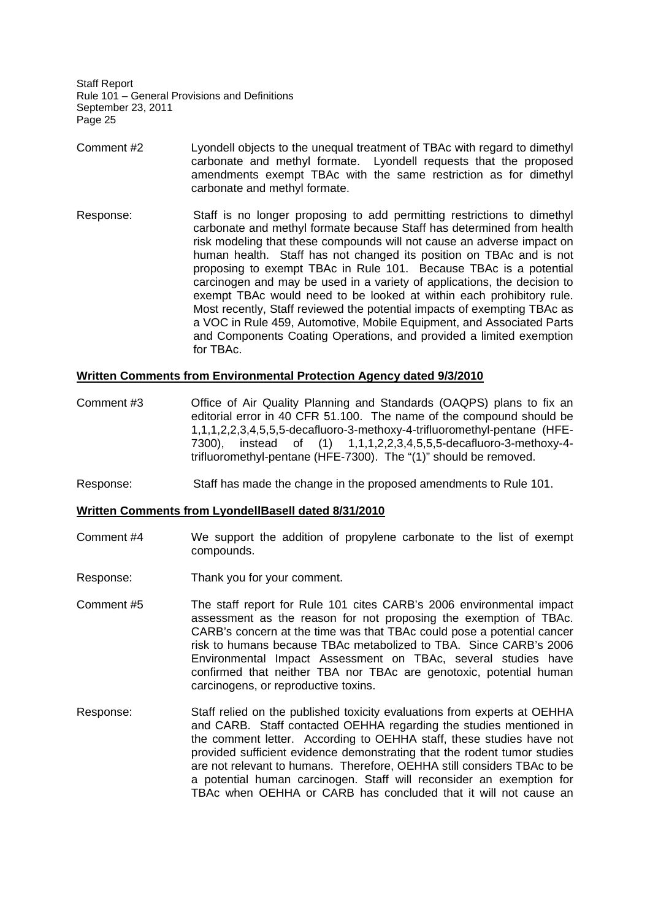- Comment #2 Lyondell objects to the unequal treatment of TBAc with regard to dimethyl carbonate and methyl formate. Lyondell requests that the proposed amendments exempt TBAc with the same restriction as for dimethyl carbonate and methyl formate.
- Response: Staff is no longer proposing to add permitting restrictions to dimethyl carbonate and methyl formate because Staff has determined from health risk modeling that these compounds will not cause an adverse impact on human health. Staff has not changed its position on TBAc and is not proposing to exempt TBAc in Rule 101. Because TBAc is a potential carcinogen and may be used in a variety of applications, the decision to exempt TBAc would need to be looked at within each prohibitory rule. Most recently, Staff reviewed the potential impacts of exempting TBAc as a VOC in Rule 459, Automotive, Mobile Equipment, and Associated Parts and Components Coating Operations, and provided a limited exemption for TBAc.

### **Written Comments from Environmental Protection Agency dated 9/3/2010**

- Comment #3 Office of Air Quality Planning and Standards (OAQPS) plans to fix an editorial error in 40 CFR 51.100. The name of the compound should be 1,1,1,2,2,3,4,5,5,5-decafluoro-3-methoxy-4-trifluoromethyl-pentane (HFE-7300), instead of (1) 1,1,1,2,2,3,4,5,5,5-decafluoro-3-methoxy-4 trifluoromethyl-pentane (HFE-7300). The "(1)" should be removed.
- Response: Staff has made the change in the proposed amendments to Rule 101.

#### **Written Comments from LyondellBasell dated 8/31/2010**

- Comment #4 We support the addition of propylene carbonate to the list of exempt compounds.
- Response: Thank you for your comment.
- Comment #5 The staff report for Rule 101 cites CARB's 2006 environmental impact assessment as the reason for not proposing the exemption of TBAc. CARB's concern at the time was that TBAc could pose a potential cancer risk to humans because TBAc metabolized to TBA. Since CARB's 2006 Environmental Impact Assessment on TBAc, several studies have confirmed that neither TBA nor TBAc are genotoxic, potential human carcinogens, or reproductive toxins.
- Response: Staff relied on the published toxicity evaluations from experts at OEHHA and CARB. Staff contacted OEHHA regarding the studies mentioned in the comment letter. According to OEHHA staff, these studies have not provided sufficient evidence demonstrating that the rodent tumor studies are not relevant to humans. Therefore, OEHHA still considers TBAc to be a potential human carcinogen. Staff will reconsider an exemption for TBAc when OEHHA or CARB has concluded that it will not cause an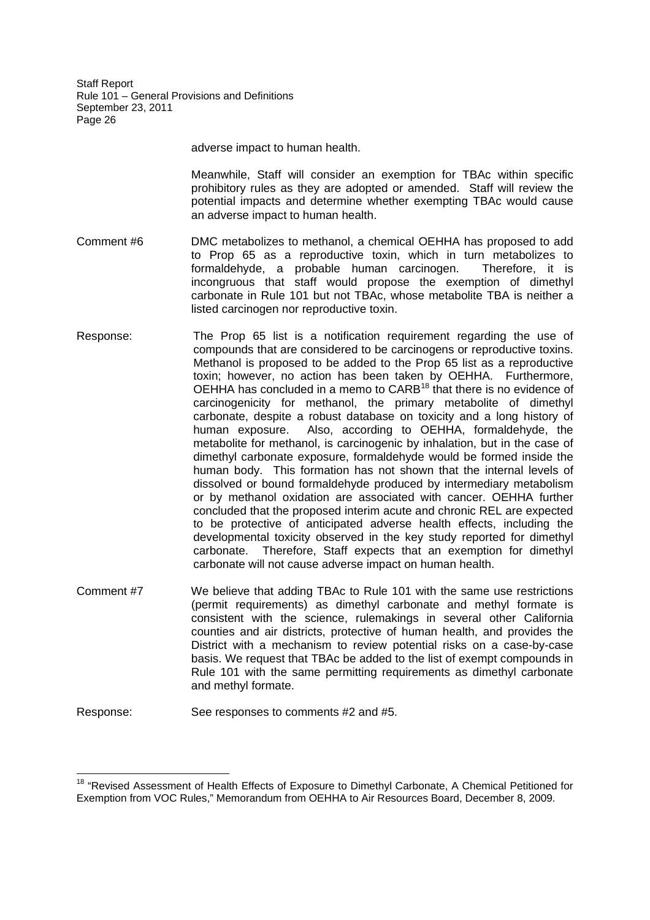adverse impact to human health.

Meanwhile, Staff will consider an exemption for TBAc within specific prohibitory rules as they are adopted or amended. Staff will review the potential impacts and determine whether exempting TBAc would cause an adverse impact to human health.

- Comment #6 DMC metabolizes to methanol, a chemical OEHHA has proposed to add to Prop 65 as a reproductive toxin, which in turn metabolizes to formaldehyde, a probable human carcinogen. Therefore, it is incongruous that staff would propose the exemption of dimethyl carbonate in Rule 101 but not TBAc, whose metabolite TBA is neither a listed carcinogen nor reproductive toxin.
- Response: The Prop 65 list is a notification requirement regarding the use of compounds that are considered to be carcinogens or reproductive toxins. Methanol is proposed to be added to the Prop 65 list as a reproductive toxin; however, no action has been taken by OEHHA. Furthermore, OEHHA has concluded in a memo to CARB<sup>18</sup> that there is no evidence of carcinogenicity for methanol, the primary metabolite of dimethyl carbonate, despite a robust database on toxicity and a long history of human exposure. Also, according to OEHHA, formaldehyde, the metabolite for methanol, is carcinogenic by inhalation, but in the case of dimethyl carbonate exposure, formaldehyde would be formed inside the human body. This formation has not shown that the internal levels of dissolved or bound formaldehyde produced by intermediary metabolism or by methanol oxidation are associated with cancer. OEHHA further concluded that the proposed interim acute and chronic REL are expected to be protective of anticipated adverse health effects, including the developmental toxicity observed in the key study reported for dimethyl carbonate. Therefore, Staff expects that an exemption for dimethyl carbonate will not cause adverse impact on human health.
- Comment #7 We believe that adding TBAc to Rule 101 with the same use restrictions (permit requirements) as dimethyl carbonate and methyl formate is consistent with the science, rulemakings in several other California counties and air districts, protective of human health, and provides the District with a mechanism to review potential risks on a case-by-case basis. We request that TBAc be added to the list of exempt compounds in Rule 101 with the same permitting requirements as dimethyl carbonate and methyl formate.
- Response: See responses to comments #2 and #5.

<sup>&</sup>lt;sup>18</sup> "Revised Assessment of Health Effects of Exposure to Dimethyl Carbonate, A Chemical Petitioned for Exemption from VOC Rules," Memorandum from OEHHA to Air Resources Board, December 8, 2009.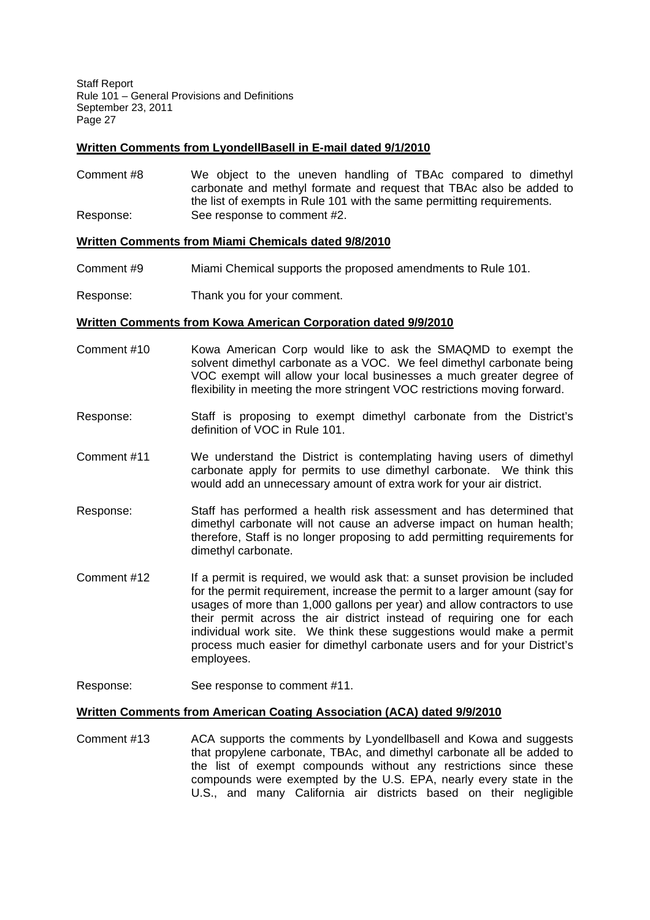# **Written Comments from LyondellBasell in E-mail dated 9/1/2010**

Comment #8 We object to the uneven handling of TBAc compared to dimethyl carbonate and methyl formate and request that TBAc also be added to the list of exempts in Rule 101 with the same permitting requirements. Response: See response to comment #2.

## **Written Comments from Miami Chemicals dated 9/8/2010**

- Comment #9 Miami Chemical supports the proposed amendments to Rule 101.
- Response: Thank you for your comment.

### **Written Comments from Kowa American Corporation dated 9/9/2010**

- Comment #10 Kowa American Corp would like to ask the SMAQMD to exempt the solvent dimethyl carbonate as a VOC. We feel dimethyl carbonate being VOC exempt will allow your local businesses a much greater degree of flexibility in meeting the more stringent VOC restrictions moving forward.
- Response: Staff is proposing to exempt dimethyl carbonate from the District's definition of VOC in Rule 101.
- Comment #11 We understand the District is contemplating having users of dimethyl carbonate apply for permits to use dimethyl carbonate. We think this would add an unnecessary amount of extra work for your air district.
- Response: Staff has performed a health risk assessment and has determined that dimethyl carbonate will not cause an adverse impact on human health; therefore, Staff is no longer proposing to add permitting requirements for dimethyl carbonate.
- Comment #12 If a permit is required, we would ask that: a sunset provision be included for the permit requirement, increase the permit to a larger amount (say for usages of more than 1,000 gallons per year) and allow contractors to use their permit across the air district instead of requiring one for each individual work site. We think these suggestions would make a permit process much easier for dimethyl carbonate users and for your District's employees.
- Response: See response to comment #11.

## **Written Comments from American Coating Association (ACA) dated 9/9/2010**

Comment #13 ACA supports the comments by Lyondellbasell and Kowa and suggests that propylene carbonate, TBAc, and dimethyl carbonate all be added to the list of exempt compounds without any restrictions since these compounds were exempted by the U.S. EPA, nearly every state in the U.S., and many California air districts based on their negligible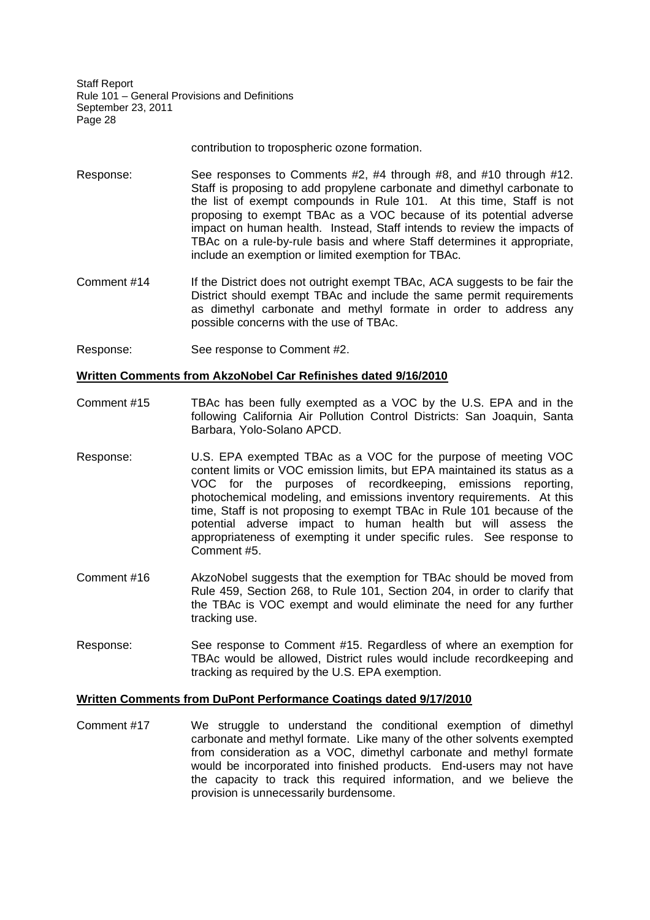contribution to tropospheric ozone formation.

- Response: See responses to Comments #2, #4 through #8, and #10 through #12. Staff is proposing to add propylene carbonate and dimethyl carbonate to the list of exempt compounds in Rule 101. At this time, Staff is not proposing to exempt TBAc as a VOC because of its potential adverse impact on human health. Instead, Staff intends to review the impacts of TBAc on a rule-by-rule basis and where Staff determines it appropriate, include an exemption or limited exemption for TBAc.
- Comment #14 If the District does not outright exempt TBAc, ACA suggests to be fair the District should exempt TBAc and include the same permit requirements as dimethyl carbonate and methyl formate in order to address any possible concerns with the use of TBAc.
- Response: See response to Comment #2.

### **Written Comments from AkzoNobel Car Refinishes dated 9/16/2010**

- Comment #15 TBAc has been fully exempted as a VOC by the U.S. EPA and in the following California Air Pollution Control Districts: San Joaquin, Santa Barbara, Yolo-Solano APCD.
- Response: U.S. EPA exempted TBAc as a VOC for the purpose of meeting VOC content limits or VOC emission limits, but EPA maintained its status as a VOC for the purposes of recordkeeping, emissions reporting, photochemical modeling, and emissions inventory requirements. At this time, Staff is not proposing to exempt TBAc in Rule 101 because of the potential adverse impact to human health but will assess the appropriateness of exempting it under specific rules. See response to Comment #5.
- Comment #16 AkzoNobel suggests that the exemption for TBAc should be moved from Rule 459, Section 268, to Rule 101, Section 204, in order to clarify that the TBAc is VOC exempt and would eliminate the need for any further tracking use.
- Response: See response to Comment #15. Regardless of where an exemption for TBAc would be allowed, District rules would include recordkeeping and tracking as required by the U.S. EPA exemption.

### **Written Comments from DuPont Performance Coatings dated 9/17/2010**

Comment #17 We struggle to understand the conditional exemption of dimethyl carbonate and methyl formate. Like many of the other solvents exempted from consideration as a VOC, dimethyl carbonate and methyl formate would be incorporated into finished products. End-users may not have the capacity to track this required information, and we believe the provision is unnecessarily burdensome.